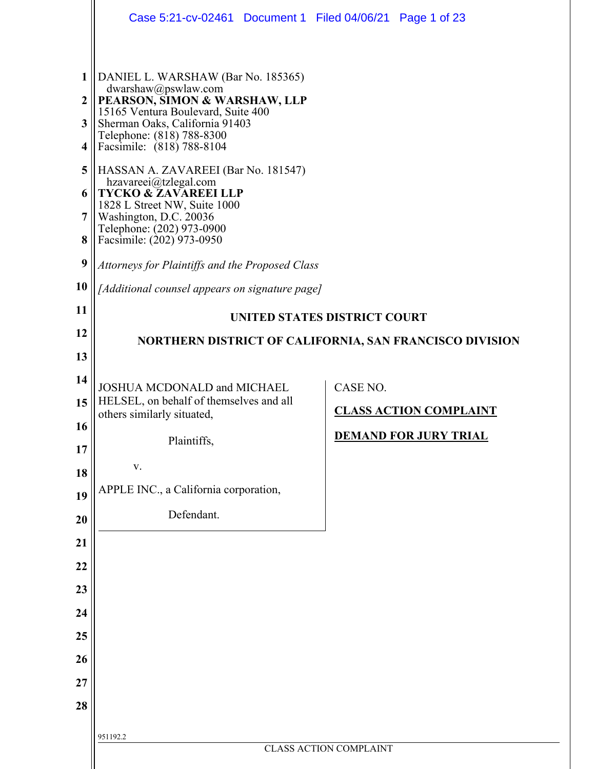|                                                                | Case 5:21-cv-02461 Document 1 Filed 04/06/21 Page 1 of 23                                                                                                                                                                                                                                                                                                                                                                                                                                                                                     |                               |  |  |
|----------------------------------------------------------------|-----------------------------------------------------------------------------------------------------------------------------------------------------------------------------------------------------------------------------------------------------------------------------------------------------------------------------------------------------------------------------------------------------------------------------------------------------------------------------------------------------------------------------------------------|-------------------------------|--|--|
| 1<br>$\boldsymbol{2}$<br>3<br>4<br>5<br>6<br>7<br>8<br>9<br>10 | DANIEL L. WARSHAW (Bar No. 185365)<br>dwarshaw@pswlaw.com<br>PEARSON, SIMON & WARSHAW, LLP<br>15165 Ventura Boulevard, Suite 400<br>Sherman Oaks, California 91403<br>Telephone: (818) 788-8300<br>Facsimile: (818) 788-8104<br>HASSAN A. ZAVAREEI (Bar No. 181547)<br>hzavareei@tzlegal.com<br>TYCKO & ZAVAREEI LLP<br>1828 L Street NW, Suite 1000<br>Washington, D.C. 20036<br>Telephone: (202) 973-0900<br>Facsimile: (202) 973-0950<br>Attorneys for Plaintiffs and the Proposed Class<br>[Additional counsel appears on signature page] |                               |  |  |
| 11                                                             |                                                                                                                                                                                                                                                                                                                                                                                                                                                                                                                                               |                               |  |  |
| 12                                                             | UNITED STATES DISTRICT COURT                                                                                                                                                                                                                                                                                                                                                                                                                                                                                                                  |                               |  |  |
| 13                                                             | NORTHERN DISTRICT OF CALIFORNIA, SAN FRANCISCO DIVISION                                                                                                                                                                                                                                                                                                                                                                                                                                                                                       |                               |  |  |
| 14                                                             | JOSHUA MCDONALD and MICHAEL                                                                                                                                                                                                                                                                                                                                                                                                                                                                                                                   | CASE NO.                      |  |  |
| 15                                                             | HELSEL, on behalf of themselves and all                                                                                                                                                                                                                                                                                                                                                                                                                                                                                                       | <b>CLASS ACTION COMPLAINT</b> |  |  |
| 16                                                             | others similarly situated,                                                                                                                                                                                                                                                                                                                                                                                                                                                                                                                    |                               |  |  |
| 17                                                             | Plaintiffs,                                                                                                                                                                                                                                                                                                                                                                                                                                                                                                                                   | <u>DEMAND FOR JURY TRIAL</u>  |  |  |
| 18                                                             | V.                                                                                                                                                                                                                                                                                                                                                                                                                                                                                                                                            |                               |  |  |
| 19                                                             | APPLE INC., a California corporation,                                                                                                                                                                                                                                                                                                                                                                                                                                                                                                         |                               |  |  |
| 20                                                             | Defendant.                                                                                                                                                                                                                                                                                                                                                                                                                                                                                                                                    |                               |  |  |
| 21                                                             |                                                                                                                                                                                                                                                                                                                                                                                                                                                                                                                                               |                               |  |  |
| 22                                                             |                                                                                                                                                                                                                                                                                                                                                                                                                                                                                                                                               |                               |  |  |
| 23                                                             |                                                                                                                                                                                                                                                                                                                                                                                                                                                                                                                                               |                               |  |  |
| 24                                                             |                                                                                                                                                                                                                                                                                                                                                                                                                                                                                                                                               |                               |  |  |
| 25                                                             |                                                                                                                                                                                                                                                                                                                                                                                                                                                                                                                                               |                               |  |  |
| 26                                                             |                                                                                                                                                                                                                                                                                                                                                                                                                                                                                                                                               |                               |  |  |
| 27                                                             |                                                                                                                                                                                                                                                                                                                                                                                                                                                                                                                                               |                               |  |  |
| 28                                                             |                                                                                                                                                                                                                                                                                                                                                                                                                                                                                                                                               |                               |  |  |
|                                                                | 951192.2                                                                                                                                                                                                                                                                                                                                                                                                                                                                                                                                      |                               |  |  |
|                                                                | <b>CLASS ACTION COMPLAINT</b>                                                                                                                                                                                                                                                                                                                                                                                                                                                                                                                 |                               |  |  |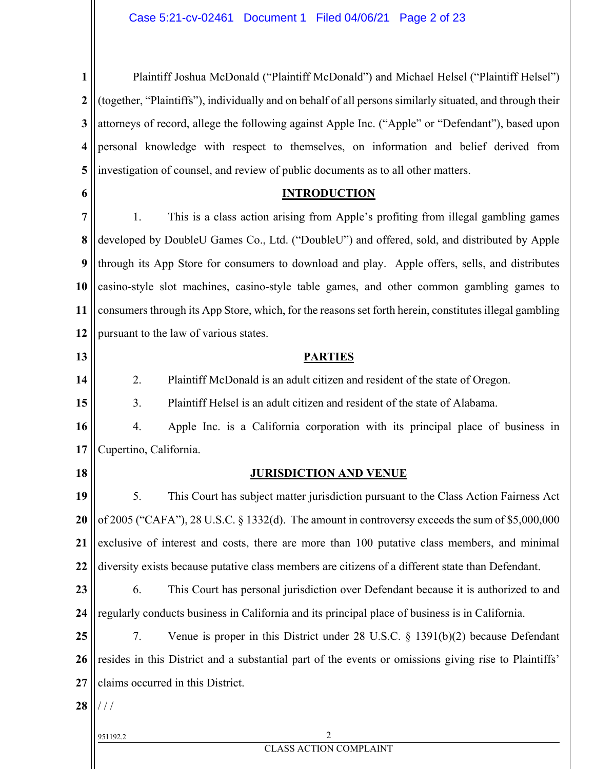| $\mathbf{1}$            | Plaintiff Joshua McDonald ("Plaintiff McDonald") and Michael Helsel ("Plaintiff Helsel")                  |  |  |  |  |
|-------------------------|-----------------------------------------------------------------------------------------------------------|--|--|--|--|
| $\boldsymbol{2}$        | (together, "Plaintiffs"), individually and on behalf of all persons similarly situated, and through their |  |  |  |  |
| 3                       | attorneys of record, allege the following against Apple Inc. ("Apple" or "Defendant"), based upon         |  |  |  |  |
| $\overline{\mathbf{4}}$ | personal knowledge with respect to themselves, on information and belief derived from                     |  |  |  |  |
| 5                       | investigation of counsel, and review of public documents as to all other matters.                         |  |  |  |  |
| 6                       | <b>INTRODUCTION</b>                                                                                       |  |  |  |  |
| 7                       | This is a class action arising from Apple's profiting from illegal gambling games<br>1.                   |  |  |  |  |
| 8                       | developed by DoubleU Games Co., Ltd. ("DoubleU") and offered, sold, and distributed by Apple              |  |  |  |  |
| 9                       | through its App Store for consumers to download and play. Apple offers, sells, and distributes            |  |  |  |  |
| 10                      | casino-style slot machines, casino-style table games, and other common gambling games to                  |  |  |  |  |
| 11                      | consumers through its App Store, which, for the reasons set forth herein, constitutes illegal gambling    |  |  |  |  |
| 12                      | pursuant to the law of various states.                                                                    |  |  |  |  |
| 13                      | <b>PARTIES</b>                                                                                            |  |  |  |  |
| 14                      | 2.<br>Plaintiff McDonald is an adult citizen and resident of the state of Oregon.                         |  |  |  |  |
| 15                      | Plaintiff Helsel is an adult citizen and resident of the state of Alabama.<br>3.                          |  |  |  |  |
| 16                      | Apple Inc. is a California corporation with its principal place of business in<br>4.                      |  |  |  |  |
| 17                      | Cupertino, California.                                                                                    |  |  |  |  |
| 18                      | <b>JURISDICTION AND VENUE</b>                                                                             |  |  |  |  |
| 19                      | This Court has subject matter jurisdiction pursuant to the Class Action Fairness Act<br>5.                |  |  |  |  |
| 20                      | of 2005 ("CAFA"), 28 U.S.C. § 1332(d). The amount in controversy exceeds the sum of \$5,000,000           |  |  |  |  |
| 21                      | exclusive of interest and costs, there are more than 100 putative class members, and minimal              |  |  |  |  |
| 22                      | diversity exists because putative class members are citizens of a different state than Defendant.         |  |  |  |  |
| 23                      | This Court has personal jurisdiction over Defendant because it is authorized to and<br>6.                 |  |  |  |  |
| 24                      | regularly conducts business in California and its principal place of business is in California.           |  |  |  |  |
| 25                      | 7.<br>Venue is proper in this District under 28 U.S.C. $\S$ 1391(b)(2) because Defendant                  |  |  |  |  |
| 26                      | resides in this District and a substantial part of the events or omissions giving rise to Plaintiffs'     |  |  |  |  |
| 27                      | claims occurred in this District.                                                                         |  |  |  |  |
| 28                      | $\frac{1}{2}$                                                                                             |  |  |  |  |
|                         | $\overline{c}$<br>951192.2                                                                                |  |  |  |  |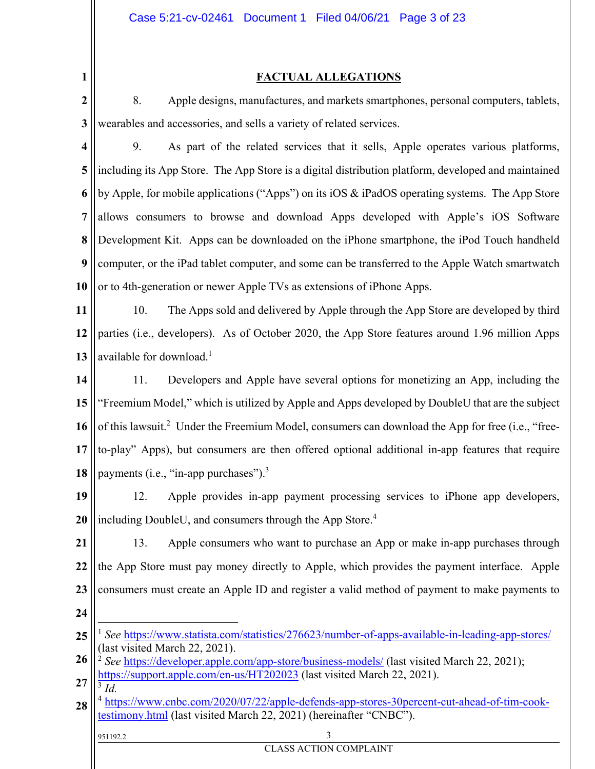### **FACTUAL ALLEGATIONS**

**2 3** 8. Apple designs, manufactures, and markets smartphones, personal computers, tablets, wearables and accessories, and sells a variety of related services.

**1**

**4 5 6 7 8 9 10** 9. As part of the related services that it sells, Apple operates various platforms, including its App Store. The App Store is a digital distribution platform, developed and maintained by Apple, for mobile applications ("Apps") on its iOS & iPadOS operating systems. The App Store allows consumers to browse and download Apps developed with Apple's iOS Software Development Kit. Apps can be downloaded on the iPhone smartphone, the iPod Touch handheld computer, or the iPad tablet computer, and some can be transferred to the Apple Watch smartwatch or to 4th-generation or newer Apple TVs as extensions of iPhone Apps.

**11 12 13** 10. The Apps sold and delivered by Apple through the App Store are developed by third parties (i.e., developers). As of October 2020, the App Store features around 1.96 million Apps available for download.<sup>1</sup>

**14 15 16 17 18** 11. Developers and Apple have several options for monetizing an App, including the "Freemium Model," which is utilized by Apple and Apps developed by DoubleU that are the subject of this lawsuit.<sup>2</sup> Under the Freemium Model, consumers can download the App for free (i.e., "freeto-play" Apps), but consumers are then offered optional additional in-app features that require payments (i.e., "in-app purchases"). $3$ 

**19 20** 12. Apple provides in-app payment processing services to iPhone app developers, including DoubleU, and consumers through the App Store.<sup>4</sup>

**21 22 23 24** 13. Apple consumers who want to purchase an App or make in-app purchases through the App Store must pay money directly to Apple, which provides the payment interface. Apple consumers must create an Apple ID and register a valid method of payment to make payments to

951192.2 3

CLASS ACTION COMPLAINT

**<sup>25</sup>**  $\overline{a}$ <sup>1</sup> *See* https://www.statista.com/statistics/276623/number-of-apps-available-in-leading-app-stores/ (last visited March 22, 2021).

**<sup>26</sup> 27** <sup>2</sup> See https://developer.apple.com/app-store/business-models/ (last visited March 22, 2021); https://support.apple.com/en-us/HT202023 (last visited March 22, 2021).

**<sup>28</sup>** <sup>3</sup> *Id.* <sup>4</sup> https://www.cnbc.com/2020/07/22/apple-defends-app-stores-30percent-cut-ahead-of-tim-cooktestimony.html (last visited March 22, 2021) (hereinafter "CNBC").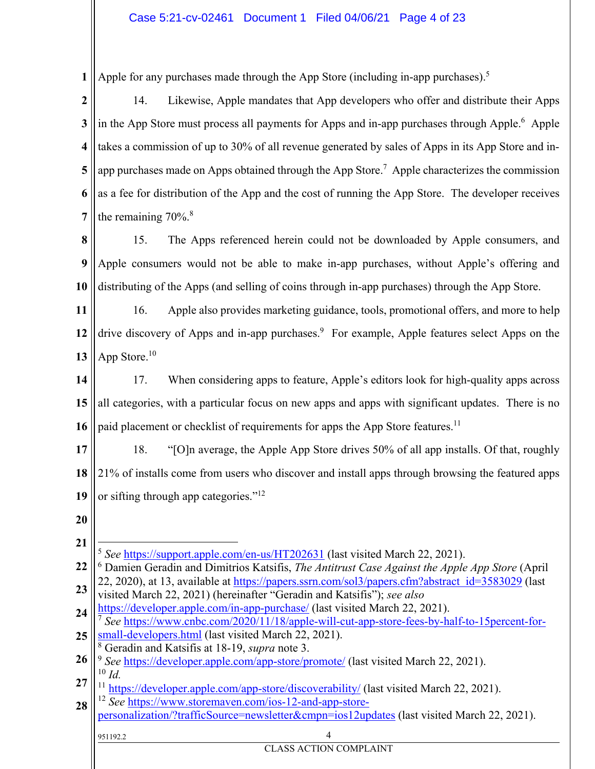**1** Apple for any purchases made through the App Store (including in-app purchases).<sup>5</sup>

**2 3 4 5 6 7** 14. Likewise, Apple mandates that App developers who offer and distribute their Apps in the App Store must process all payments for Apps and in-app purchases through Apple.<sup>6</sup> Apple takes a commission of up to 30% of all revenue generated by sales of Apps in its App Store and inapp purchases made on Apps obtained through the App Store.<sup>7</sup> Apple characterizes the commission as a fee for distribution of the App and the cost of running the App Store. The developer receives the remaining  $70\%$ .<sup>8</sup>

**8 9 10** 15. The Apps referenced herein could not be downloaded by Apple consumers, and Apple consumers would not be able to make in-app purchases, without Apple's offering and distributing of the Apps (and selling of coins through in-app purchases) through the App Store.

**11 12 13** 16. Apple also provides marketing guidance, tools, promotional offers, and more to help drive discovery of Apps and in-app purchases.<sup>9</sup> For example, Apple features select Apps on the App Store.<sup>10</sup>

**14 15 16** 17. When considering apps to feature, Apple's editors look for high-quality apps across all categories, with a particular focus on new apps and apps with significant updates. There is no paid placement or checklist of requirements for apps the App Store features.<sup>11</sup>

**17 18 19** 18. "[O]n average, the Apple App Store drives 50% of all app installs. Of that, roughly 21% of installs come from users who discover and install apps through browsing the featured apps or sifting through app categories."12

- **20**
- **21**

 $\overline{a}$ <sup>5</sup> *See* https://support.apple.com/en-us/HT202631 (last visited March 22, 2021).

**22 23** 6 Damien Geradin and Dimitrios Katsifis, *The Antitrust Case Against the Apple App Store* (April 22, 2020), at 13, available at https://papers.ssrn.com/sol3/papers.cfm?abstract id=3583029 (last

**24** visited March 22, 2021) (hereinafter "Geradin and Katsifis"); *see also*  https://developer.apple.com/in-app-purchase/ (last visited March 22, 2021). <sup>7</sup> *See* https://www.cnbc.com/2020/11/18/apple-will-cut-app-store-fees-by-half-to-15percent-for-

**25** small-developers.html (last visited March 22, 2021).

8 Geradin and Katsifis at 18-19, *supra* note 3.

**26 27** <sup>9</sup> See https://developer.apple.com/app-store/promote/ (last visited March 22, 2021). <sup>10</sup> *Id.*<br><sup>11</sup> https://developer.apple.com/app-store/discoverability/ (last visited March 22, 2021).

**28** <sup>12</sup> *See* https://www.storemaven.com/ios-12-and-app-storepersonalization/?trafficSource=newsletter&cmpn=ios12updates (last visited March 22, 2021).

# 951192.2 4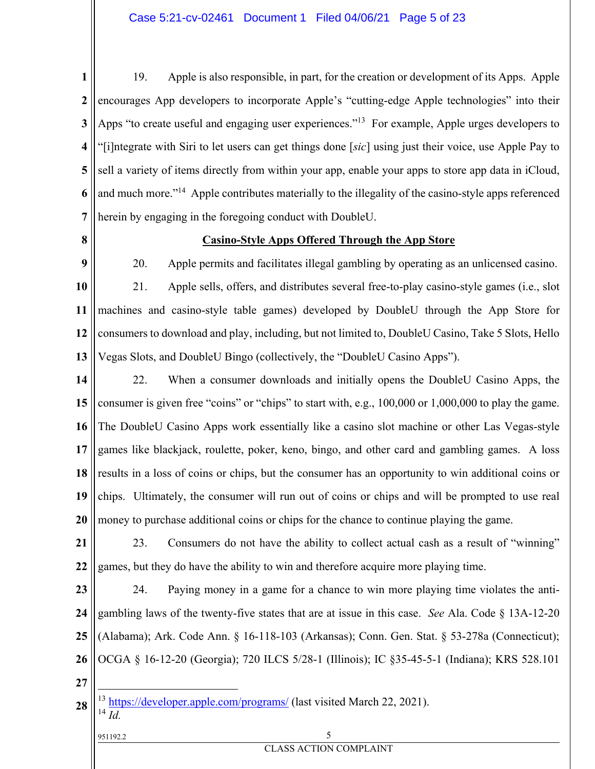**1 2 3 4 5 6 7** 19. Apple is also responsible, in part, for the creation or development of its Apps. Apple encourages App developers to incorporate Apple's "cutting-edge Apple technologies" into their Apps "to create useful and engaging user experiences."<sup>13</sup> For example, Apple urges developers to "[i]ntegrate with Siri to let users can get things done [*sic*] using just their voice, use Apple Pay to sell a variety of items directly from within your app, enable your apps to store app data in iCloud, and much more."<sup>14</sup> Apple contributes materially to the illegality of the casino-style apps referenced herein by engaging in the foregoing conduct with DoubleU.

**8**

### **Casino-Style Apps Offered Through the App Store**

**9 10 11 12 13** 20. Apple permits and facilitates illegal gambling by operating as an unlicensed casino. 21. Apple sells, offers, and distributes several free-to-play casino-style games (i.e., slot machines and casino-style table games) developed by DoubleU through the App Store for consumers to download and play, including, but not limited to, DoubleU Casino, Take 5 Slots, Hello Vegas Slots, and DoubleU Bingo (collectively, the "DoubleU Casino Apps").

**14 15 16 17 18 19 20** 22. When a consumer downloads and initially opens the DoubleU Casino Apps, the consumer is given free "coins" or "chips" to start with, e.g., 100,000 or 1,000,000 to play the game. The DoubleU Casino Apps work essentially like a casino slot machine or other Las Vegas-style games like blackjack, roulette, poker, keno, bingo, and other card and gambling games. A loss results in a loss of coins or chips, but the consumer has an opportunity to win additional coins or chips. Ultimately, the consumer will run out of coins or chips and will be prompted to use real money to purchase additional coins or chips for the chance to continue playing the game.

**21 22** 23. Consumers do not have the ability to collect actual cash as a result of "winning" games, but they do have the ability to win and therefore acquire more playing time.

**23 24 25 26** 24. Paying money in a game for a chance to win more playing time violates the antigambling laws of the twenty-five states that are at issue in this case. *See* Ala. Code § 13A-12-20 (Alabama); Ark. Code Ann. § 16-118-103 (Arkansas); Conn. Gen. Stat. § 53-278a (Connecticut); OCGA § 16-12-20 (Georgia); 720 ILCS 5/28-1 (Illinois); IC §35-45-5-1 (Indiana); KRS 528.101

**27**

 $\overline{a}$ 

**28** <sup>13</sup> https://developer.apple.com/programs/ (last visited March 22, 2021).  $^{14}$  $\overline{Id}$ .

951192.2 5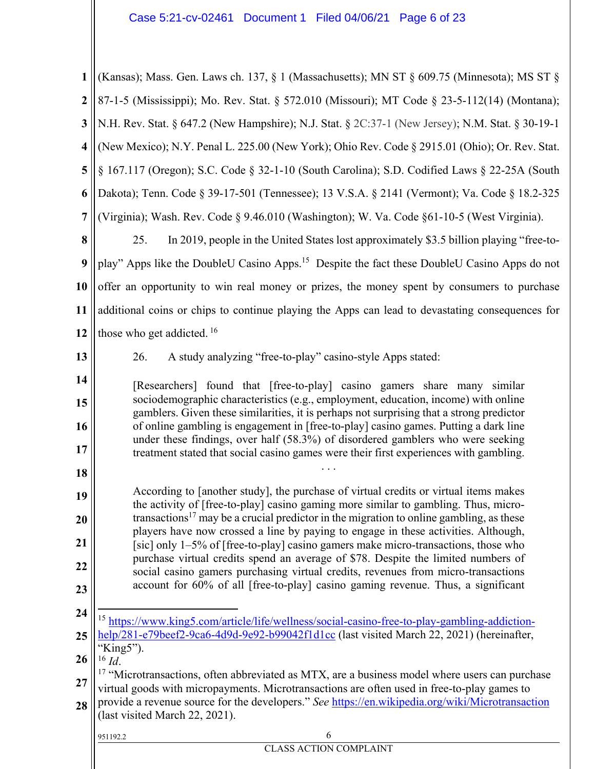| $\mathbf{1}$            | (Kansas); Mass. Gen. Laws ch. 137, § 1 (Massachusetts); MN ST § 609.75 (Minnesota); MS ST §                                                                                               |  |  |  |  |
|-------------------------|-------------------------------------------------------------------------------------------------------------------------------------------------------------------------------------------|--|--|--|--|
| $\boldsymbol{2}$        | 87-1-5 (Mississippi); Mo. Rev. Stat. § 572.010 (Missouri); MT Code § 23-5-112(14) (Montana);                                                                                              |  |  |  |  |
| 3                       | N.H. Rev. Stat. § 647.2 (New Hampshire); N.J. Stat. § 2C:37-1 (New Jersey); N.M. Stat. § 30-19-1                                                                                          |  |  |  |  |
| $\overline{\mathbf{4}}$ | (New Mexico); N.Y. Penal L. 225.00 (New York); Ohio Rev. Code § 2915.01 (Ohio); Or. Rev. Stat.                                                                                            |  |  |  |  |
| 5                       | § 167.117 (Oregon); S.C. Code § 32-1-10 (South Carolina); S.D. Codified Laws § 22-25A (South                                                                                              |  |  |  |  |
| 6                       | Dakota); Tenn. Code § 39-17-501 (Tennessee); 13 V.S.A. § 2141 (Vermont); Va. Code § 18.2-325                                                                                              |  |  |  |  |
| $\overline{7}$          | (Virginia); Wash. Rev. Code § 9.46.010 (Washington); W. Va. Code §61-10-5 (West Virginia).                                                                                                |  |  |  |  |
| 8                       | In 2019, people in the United States lost approximately \$3.5 billion playing "free-to-<br>25.                                                                                            |  |  |  |  |
| $\boldsymbol{9}$        | play" Apps like the DoubleU Casino Apps. <sup>15</sup> Despite the fact these DoubleU Casino Apps do not                                                                                  |  |  |  |  |
| 10                      | offer an opportunity to win real money or prizes, the money spent by consumers to purchase                                                                                                |  |  |  |  |
| 11                      | additional coins or chips to continue playing the Apps can lead to devastating consequences for                                                                                           |  |  |  |  |
| 12                      | those who get addicted. <sup>16</sup>                                                                                                                                                     |  |  |  |  |
| 13                      | 26.<br>A study analyzing "free-to-play" casino-style Apps stated:                                                                                                                         |  |  |  |  |
| 14                      | [Researchers] found that [free-to-play] casino gamers share many similar                                                                                                                  |  |  |  |  |
| 15                      | sociodemographic characteristics (e.g., employment, education, income) with online<br>gamblers. Given these similarities, it is perhaps not surprising that a strong predictor            |  |  |  |  |
| 16                      | of online gambling is engagement in [free-to-play] casino games. Putting a dark line<br>under these findings, over half (58.3%) of disordered gamblers who were seeking                   |  |  |  |  |
| 17                      | treatment stated that social casino games were their first experiences with gambling.                                                                                                     |  |  |  |  |
| 18                      |                                                                                                                                                                                           |  |  |  |  |
| 19                      | According to [another study], the purchase of virtual credits or virtual items makes<br>the activity of [free-to-play] casino gaming more similar to gambling. Thus, micro-               |  |  |  |  |
| 20                      | transactions <sup>17</sup> may be a crucial predictor in the migration to online gambling, as these<br>players have now crossed a line by paying to engage in these activities. Although, |  |  |  |  |
| 21                      | [sic] only 1–5% of [free-to-play] casino gamers make micro-transactions, those who<br>purchase virtual credits spend an average of \$78. Despite the limited numbers of                   |  |  |  |  |
| 22                      | social casino gamers purchasing virtual credits, revenues from micro-transactions                                                                                                         |  |  |  |  |
| 23                      | account for 60% of all [free-to-play] casino gaming revenue. Thus, a significant                                                                                                          |  |  |  |  |
| 24                      | <sup>15</sup> https://www.king5.com/article/life/wellness/social-casino-free-to-play-gambling-addiction-                                                                                  |  |  |  |  |
| 25                      | help/281-e79beef2-9ca6-4d9d-9e92-b99042f1d1cc (last visited March 22, 2021) (hereinafter,<br>"King5").                                                                                    |  |  |  |  |
| 26                      | $^{16}$ Id.<br>$17$ "Microtransactions, often abbreviated as MTX, are a business model where users can purchase                                                                           |  |  |  |  |
| 27                      | virtual goods with micropayments. Microtransactions are often used in free-to-play games to                                                                                               |  |  |  |  |
| 28                      | provide a revenue source for the developers." See https://en.wikipedia.org/wiki/Microtransaction<br>(last visited March 22, 2021).                                                        |  |  |  |  |
|                         | 6<br>951192.2                                                                                                                                                                             |  |  |  |  |
|                         | <b>CLASS ACTION COMPLAINT</b>                                                                                                                                                             |  |  |  |  |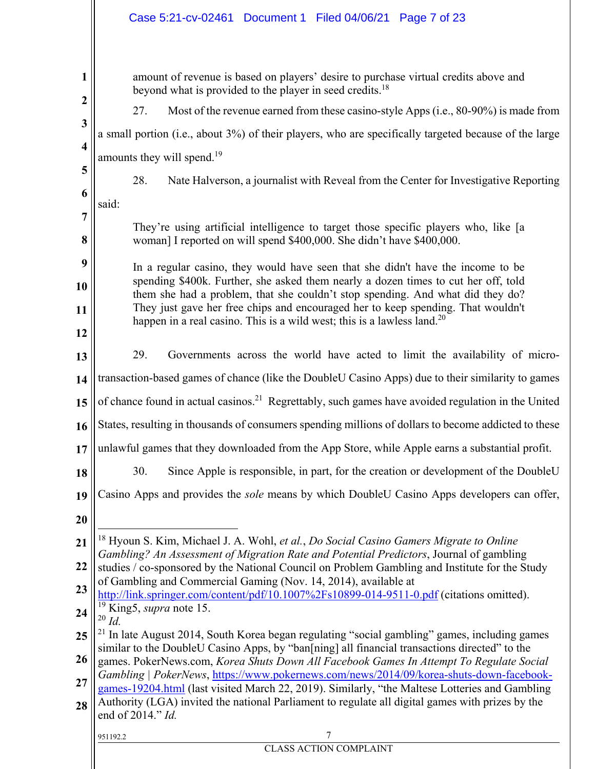|                         | Case 5:21-cv-02461 Document 1 Filed 04/06/21 Page 7 of 23                                                                                                                                                               |  |  |  |
|-------------------------|-------------------------------------------------------------------------------------------------------------------------------------------------------------------------------------------------------------------------|--|--|--|
|                         |                                                                                                                                                                                                                         |  |  |  |
| $\mathbf{1}$            | amount of revenue is based on players' desire to purchase virtual credits above and<br>beyond what is provided to the player in seed credits. <sup>18</sup>                                                             |  |  |  |
| $\boldsymbol{2}$        | 27.<br>Most of the revenue earned from these casino-style Apps (i.e., 80-90%) is made from                                                                                                                              |  |  |  |
| 3                       | a small portion (i.e., about 3%) of their players, who are specifically targeted because of the large                                                                                                                   |  |  |  |
| $\overline{\mathbf{4}}$ | amounts they will spend. <sup>19</sup>                                                                                                                                                                                  |  |  |  |
| 5                       | 28.<br>Nate Halverson, a journalist with Reveal from the Center for Investigative Reporting                                                                                                                             |  |  |  |
| 6                       | said:                                                                                                                                                                                                                   |  |  |  |
| 7                       |                                                                                                                                                                                                                         |  |  |  |
| 8                       | They're using artificial intelligence to target those specific players who, like [a<br>woman] I reported on will spend \$400,000. She didn't have \$400,000.                                                            |  |  |  |
| 9                       | In a regular casino, they would have seen that she didn't have the income to be                                                                                                                                         |  |  |  |
| 10                      | spending \$400k. Further, she asked them nearly a dozen times to cut her off, told<br>them she had a problem, that she couldn't stop spending. And what did they do?                                                    |  |  |  |
| 11                      | They just gave her free chips and encouraged her to keep spending. That wouldn't<br>happen in a real casino. This is a wild west; this is a lawless land. <sup>20</sup>                                                 |  |  |  |
| 12                      |                                                                                                                                                                                                                         |  |  |  |
| 13                      | 29.<br>Governments across the world have acted to limit the availability of micro-                                                                                                                                      |  |  |  |
| 14                      | transaction-based games of chance (like the DoubleU Casino Apps) due to their similarity to games                                                                                                                       |  |  |  |
| 15                      | of chance found in actual casinos. <sup>21</sup> Regrettably, such games have avoided regulation in the United                                                                                                          |  |  |  |
| 16                      | States, resulting in thousands of consumers spending millions of dollars to become addicted to these                                                                                                                    |  |  |  |
| 17                      | unlawful games that they downloaded from the App Store, while Apple earns a substantial profit.                                                                                                                         |  |  |  |
| 18                      | 30.<br>Since Apple is responsible, in part, for the creation or development of the DoubleU                                                                                                                              |  |  |  |
| 19                      | Casino Apps and provides the <i>sole</i> means by which DoubleU Casino Apps developers can offer,                                                                                                                       |  |  |  |
| 20                      |                                                                                                                                                                                                                         |  |  |  |
| 21                      | <sup>18</sup> Hyoun S. Kim, Michael J. A. Wohl, et al., Do Social Casino Gamers Migrate to Online                                                                                                                       |  |  |  |
| 22                      | Gambling? An Assessment of Migration Rate and Potential Predictors, Journal of gambling<br>studies / co-sponsored by the National Council on Problem Gambling and Institute for the Study                               |  |  |  |
| 23                      | of Gambling and Commercial Gaming (Nov. 14, 2014), available at                                                                                                                                                         |  |  |  |
| 24                      | http://link.springer.com/content/pdf/10.1007%2Fs10899-014-9511-0.pdf (citations omitted).<br><sup>19</sup> King5, <i>supra</i> note 15.                                                                                 |  |  |  |
| 25                      | $20$ Id.<br><sup>21</sup> In late August 2014, South Korea began regulating "social gambling" games, including games                                                                                                    |  |  |  |
| 26                      | similar to the DoubleU Casino Apps, by "ban[ning] all financial transactions directed" to the<br>games. PokerNews.com, Korea Shuts Down All Facebook Games In Attempt To Regulate Social                                |  |  |  |
| $\overline{27}$         | Gambling   PokerNews, https://www.pokernews.com/news/2014/09/korea-shuts-down-facebook-                                                                                                                                 |  |  |  |
| 28                      | games-19204.html (last visited March 22, 2019). Similarly, "the Maltese Lotteries and Gambling<br>Authority (LGA) invited the national Parliament to regulate all digital games with prizes by the<br>end of 2014." Id. |  |  |  |
|                         | 7<br>951192.2                                                                                                                                                                                                           |  |  |  |
|                         | <b>CLASS ACTION COMPLAINT</b>                                                                                                                                                                                           |  |  |  |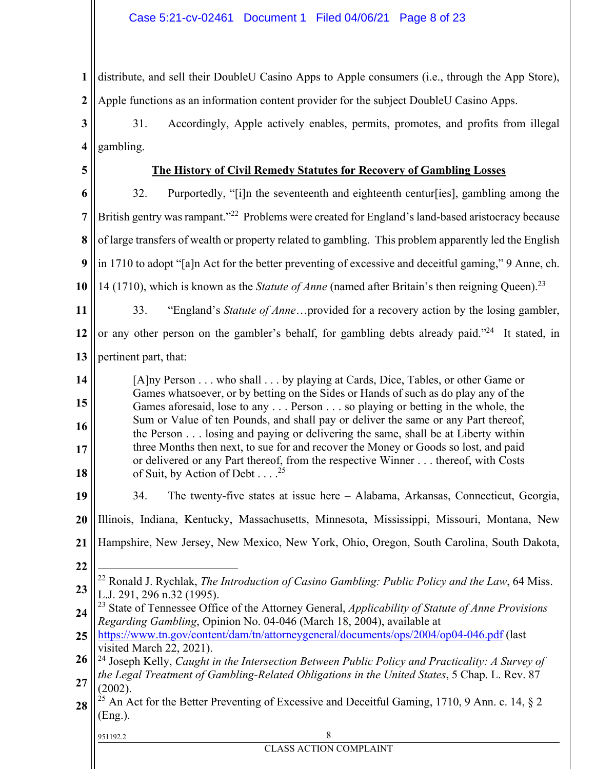**1 2** distribute, and sell their DoubleU Casino Apps to Apple consumers (i.e., through the App Store), Apple functions as an information content provider for the subject DoubleU Casino Apps.

**3 4** 31. Accordingly, Apple actively enables, permits, promotes, and profits from illegal gambling.

**5**

### **The History of Civil Remedy Statutes for Recovery of Gambling Losses**

**6 7 8 9 10 11** 32. Purportedly, "[i]n the seventeenth and eighteenth centur[ies], gambling among the British gentry was rampant."<sup>22</sup> Problems were created for England's land-based aristocracy because of large transfers of wealth or property related to gambling. This problem apparently led the English in 1710 to adopt "[a]n Act for the better preventing of excessive and deceitful gaming," 9 Anne, ch. 14 (1710), which is known as the *Statute of Anne* (named after Britain's then reigning Queen).23 33. "England's *Statute of Anne*…provided for a recovery action by the losing gambler,

**12 13** or any other person on the gambler's behalf, for gambling debts already paid."<sup>24</sup> It stated, in pertinent part, that:

**14 15 16 17 18** [A]ny Person . . . who shall . . . by playing at Cards, Dice, Tables, or other Game or Games whatsoever, or by betting on the Sides or Hands of such as do play any of the Games aforesaid, lose to any . . . Person . . . so playing or betting in the whole, the Sum or Value of ten Pounds, and shall pay or deliver the same or any Part thereof, the Person . . . losing and paying or delivering the same, shall be at Liberty within three Months then next, to sue for and recover the Money or Goods so lost, and paid or delivered or any Part thereof, from the respective Winner . . . thereof, with Costs of Suit, by Action of Debt  $\ldots$ .<sup>25</sup>

**19** 34. The twenty-five states at issue here – Alabama, Arkansas, Connecticut, Georgia,

**20** Illinois, Indiana, Kentucky, Massachusetts, Minnesota, Mississippi, Missouri, Montana, New

**21** Hampshire, New Jersey, New Mexico, New York, Ohio, Oregon, South Carolina, South Dakota,

**22**

 $\overline{a}$ 

**23** 22 Ronald J. Rychlak, *The Introduction of Casino Gambling: Public Policy and the Law*, 64 Miss. L.J. 291, 296 n.32 (1995).

**24** 23 State of Tennessee Office of the Attorney General, *Applicability of Statute of Anne Provisions Regarding Gambling*, Opinion No. 04-046 (March 18, 2004), available at

**25** https://www.tn.gov/content/dam/tn/attorneygeneral/documents/ops/2004/op04-046.pdf (last visited March 22, 2021).

**26 27** 24 Joseph Kelly, *Caught in the Intersection Between Public Policy and Practicality: A Survey of the Legal Treatment of Gambling-Related Obligations in the United States*, 5 Chap. L. Rev. 87 (2002).

**28** <sup>25</sup> An Act for the Better Preventing of Excessive and Deceitful Gaming, 1710, 9 Ann. c. 14,  $\S$  2 (Eng.).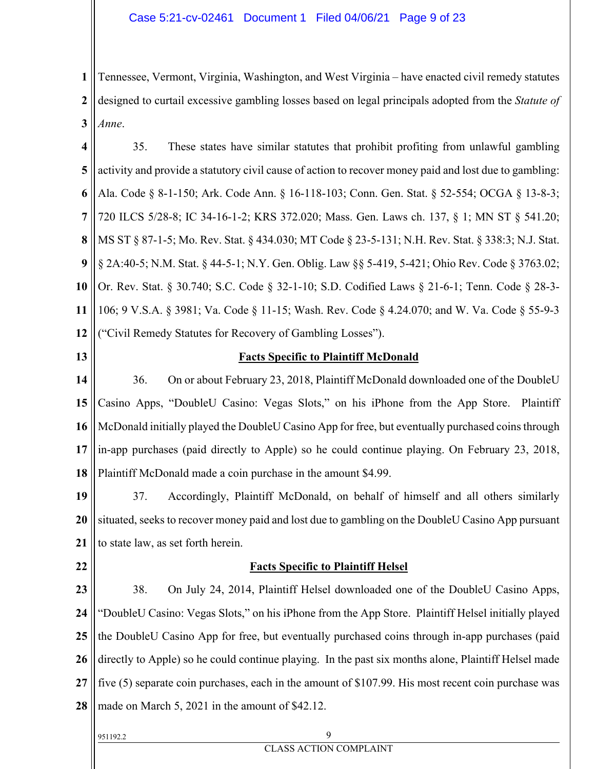**1 2 3** Tennessee, Vermont, Virginia, Washington, and West Virginia – have enacted civil remedy statutes designed to curtail excessive gambling losses based on legal principals adopted from the *Statute of Anne*.

**4 5 6 7 8 9 10 11 12** 35. These states have similar statutes that prohibit profiting from unlawful gambling activity and provide a statutory civil cause of action to recover money paid and lost due to gambling: Ala. Code § 8-1-150; Ark. Code Ann. § 16-118-103; Conn. Gen. Stat. § 52-554; OCGA § 13-8-3; 720 ILCS 5/28-8; IC 34-16-1-2; KRS 372.020; Mass. Gen. Laws ch. 137, § 1; MN ST § 541.20; MS ST § 87-1-5; Mo. Rev. Stat. § 434.030; MT Code § 23-5-131; N.H. Rev. Stat. § 338:3; N.J. Stat. § 2A:40-5; N.M. Stat. § 44-5-1; N.Y. Gen. Oblig. Law §§ 5-419, 5-421; Ohio Rev. Code § 3763.02; Or. Rev. Stat. § 30.740; S.C. Code § 32-1-10; S.D. Codified Laws § 21-6-1; Tenn. Code § 28-3- 106; 9 V.S.A. § 3981; Va. Code § 11-15; Wash. Rev. Code § 4.24.070; and W. Va. Code § 55-9-3 ("Civil Remedy Statutes for Recovery of Gambling Losses").

**13**

### **Facts Specific to Plaintiff McDonald**

**14 15 16 17 18** 36. On or about February 23, 2018, Plaintiff McDonald downloaded one of the DoubleU Casino Apps, "DoubleU Casino: Vegas Slots," on his iPhone from the App Store. Plaintiff McDonald initially played the DoubleU Casino App for free, but eventually purchased coins through in-app purchases (paid directly to Apple) so he could continue playing. On February 23, 2018, Plaintiff McDonald made a coin purchase in the amount \$4.99.

**19 20 21** 37. Accordingly, Plaintiff McDonald, on behalf of himself and all others similarly situated, seeks to recover money paid and lost due to gambling on the DoubleU Casino App pursuant to state law, as set forth herein.

**22**

### **Facts Specific to Plaintiff Helsel**

**23 24 25 26 27 28** 38. On July 24, 2014, Plaintiff Helsel downloaded one of the DoubleU Casino Apps, "DoubleU Casino: Vegas Slots," on his iPhone from the App Store. Plaintiff Helsel initially played the DoubleU Casino App for free, but eventually purchased coins through in-app purchases (paid directly to Apple) so he could continue playing. In the past six months alone, Plaintiff Helsel made five (5) separate coin purchases, each in the amount of \$107.99. His most recent coin purchase was made on March 5, 2021 in the amount of \$42.12.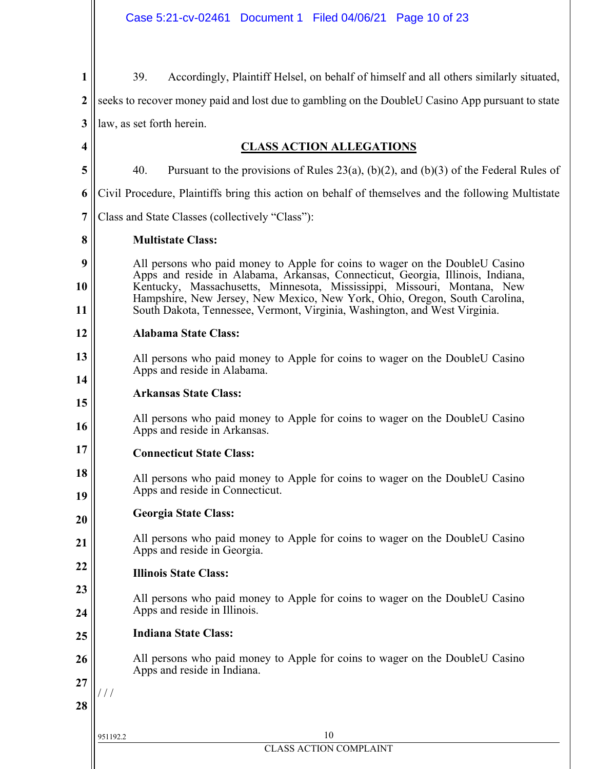| 1  | 39.<br>Accordingly, Plaintiff Helsel, on behalf of himself and all others similarly situated,                                                                  |  |  |  |  |  |
|----|----------------------------------------------------------------------------------------------------------------------------------------------------------------|--|--|--|--|--|
| 2  | seeks to recover money paid and lost due to gambling on the DoubleU Casino App pursuant to state                                                               |  |  |  |  |  |
| 3  | law, as set forth herein.                                                                                                                                      |  |  |  |  |  |
| 4  | <b>CLASS ACTION ALLEGATIONS</b>                                                                                                                                |  |  |  |  |  |
| 5  | 40.<br>Pursuant to the provisions of Rules 23(a), (b)(2), and (b)(3) of the Federal Rules of                                                                   |  |  |  |  |  |
| 6  | Civil Procedure, Plaintiffs bring this action on behalf of themselves and the following Multistate                                                             |  |  |  |  |  |
| 7  | Class and State Classes (collectively "Class"):                                                                                                                |  |  |  |  |  |
| 8  | <b>Multistate Class:</b>                                                                                                                                       |  |  |  |  |  |
| 9  | All persons who paid money to Apple for coins to wager on the DoubleU Casino<br>Apps and reside in Alabama, Arkansas, Connecticut, Georgia, Illinois, Indiana, |  |  |  |  |  |
| 10 | Kentucky, Massachusetts, Minnesota, Mississippi, Missouri, Montana, New<br>Hampshire, New Jersey, New Mexico, New York, Ohio, Oregon, South Carolina,          |  |  |  |  |  |
| 11 | South Dakota, Tennessee, Vermont, Virginia, Washington, and West Virginia.                                                                                     |  |  |  |  |  |
| 12 | <b>Alabama State Class:</b>                                                                                                                                    |  |  |  |  |  |
| 13 | All persons who paid money to Apple for coins to wager on the DoubleU Casino<br>Apps and reside in Alabama.                                                    |  |  |  |  |  |
| 14 | <b>Arkansas State Class:</b>                                                                                                                                   |  |  |  |  |  |
| 15 |                                                                                                                                                                |  |  |  |  |  |
| 16 | All persons who paid money to Apple for coins to wager on the DoubleU Casino<br>Apps and reside in Arkansas.                                                   |  |  |  |  |  |
| 17 | <b>Connecticut State Class:</b>                                                                                                                                |  |  |  |  |  |
| 18 | All persons who paid money to Apple for coins to wager on the DoubleU Casino                                                                                   |  |  |  |  |  |
| 19 | Apps and reside in Connecticut.                                                                                                                                |  |  |  |  |  |
| 20 | <b>Georgia State Class:</b>                                                                                                                                    |  |  |  |  |  |
| 21 | All persons who paid money to Apple for coins to wager on the DoubleU Casino<br>Apps and reside in Georgia.                                                    |  |  |  |  |  |
| 22 | <b>Illinois State Class:</b>                                                                                                                                   |  |  |  |  |  |
| 23 | All persons who paid money to Apple for coins to wager on the DoubleU Casino                                                                                   |  |  |  |  |  |
| 24 | Apps and reside in Illinois.                                                                                                                                   |  |  |  |  |  |
| 25 | <b>Indiana State Class:</b>                                                                                                                                    |  |  |  |  |  |
| 26 | All persons who paid money to Apple for coins to wager on the DoubleU Casino<br>Apps and reside in Indiana.                                                    |  |  |  |  |  |
| 27 | ' / /                                                                                                                                                          |  |  |  |  |  |
| 28 |                                                                                                                                                                |  |  |  |  |  |
|    | 10<br>951192.2                                                                                                                                                 |  |  |  |  |  |
|    | <b>CLASS ACTION COMPLAINT</b>                                                                                                                                  |  |  |  |  |  |
|    |                                                                                                                                                                |  |  |  |  |  |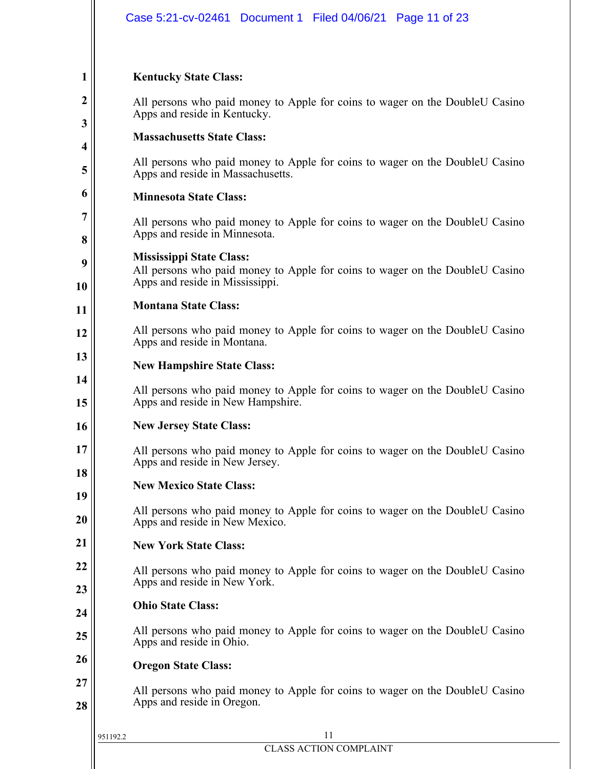|                  | Case 5:21-cv-02461 Document 1 Filed 04/06/21 Page 11 of 23                                                        |  |  |  |  |
|------------------|-------------------------------------------------------------------------------------------------------------------|--|--|--|--|
|                  |                                                                                                                   |  |  |  |  |
| 1                | <b>Kentucky State Class:</b>                                                                                      |  |  |  |  |
| $\boldsymbol{2}$ | All persons who paid money to Apple for coins to wager on the DoubleU Casino                                      |  |  |  |  |
| 3                | Apps and reside in Kentucky.                                                                                      |  |  |  |  |
| 4                | <b>Massachusetts State Class:</b>                                                                                 |  |  |  |  |
| 5                | All persons who paid money to Apple for coins to wager on the DoubleU Casino<br>Apps and reside in Massachusetts. |  |  |  |  |
| 6                | <b>Minnesota State Class:</b>                                                                                     |  |  |  |  |
| 7                | All persons who paid money to Apple for coins to wager on the DoubleU Casino                                      |  |  |  |  |
| 8                | Apps and reside in Minnesota.                                                                                     |  |  |  |  |
| 9                | <b>Mississippi State Class:</b><br>All persons who paid money to Apple for coins to wager on the DoubleU Casino   |  |  |  |  |
| 10               | Apps and reside in Mississippi.<br><b>Montana State Class:</b>                                                    |  |  |  |  |
| 11               |                                                                                                                   |  |  |  |  |
| 12               | All persons who paid money to Apple for coins to wager on the DoubleU Casino<br>Apps and reside in Montana.       |  |  |  |  |
| 13               | <b>New Hampshire State Class:</b>                                                                                 |  |  |  |  |
| 14<br>15         | All persons who paid money to Apple for coins to wager on the DoubleU Casino<br>Apps and reside in New Hampshire. |  |  |  |  |
| 16               | <b>New Jersey State Class:</b>                                                                                    |  |  |  |  |
| 17               | All persons who paid money to Apple for coins to wager on the DoubleU Casino<br>Apps and reside in New Jersey.    |  |  |  |  |
| 18               | <b>New Mexico State Class:</b>                                                                                    |  |  |  |  |
| 19<br>20         | All persons who paid money to Apple for coins to wager on the DoubleU Casino<br>Apps and reside in New Mexico.    |  |  |  |  |
| 21               | <b>New York State Class:</b>                                                                                      |  |  |  |  |
| 22               | All persons who paid money to Apple for coins to wager on the DoubleU Casino                                      |  |  |  |  |
| 23               | Apps and reside in New York.<br><b>Ohio State Class:</b>                                                          |  |  |  |  |
| 24               |                                                                                                                   |  |  |  |  |
| 25               | All persons who paid money to Apple for coins to wager on the DoubleU Casino<br>Apps and reside in Ohio.          |  |  |  |  |
| 26               | <b>Oregon State Class:</b>                                                                                        |  |  |  |  |
| 27<br>28         | All persons who paid money to Apple for coins to wager on the DoubleU Casino<br>Apps and reside in Oregon.        |  |  |  |  |
|                  | 11<br>951192.2                                                                                                    |  |  |  |  |
|                  | <b>CLASS ACTION COMPLAINT</b>                                                                                     |  |  |  |  |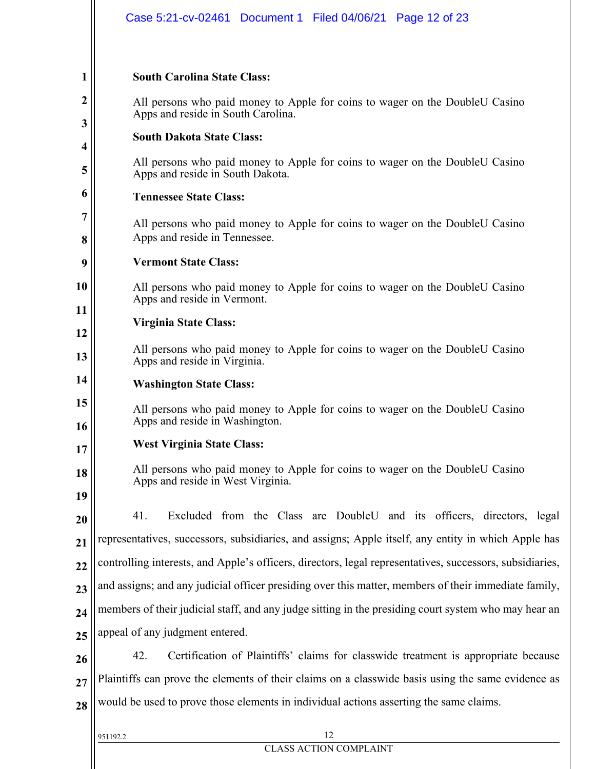|          | Case 5:21-cv-02461 Document 1 Filed 04/06/21 Page 12 of 23                                                         |  |  |  |  |  |  |
|----------|--------------------------------------------------------------------------------------------------------------------|--|--|--|--|--|--|
| 1<br>2   | <b>South Carolina State Class:</b>                                                                                 |  |  |  |  |  |  |
| 3        | All persons who paid money to Apple for coins to wager on the DoubleU Casino<br>Apps and reside in South Carolina. |  |  |  |  |  |  |
| 4        | <b>South Dakota State Class:</b>                                                                                   |  |  |  |  |  |  |
| 5        | All persons who paid money to Apple for coins to wager on the DoubleU Casino<br>Apps and reside in South Dakota.   |  |  |  |  |  |  |
| o        | <b>Tennessee State Class:</b>                                                                                      |  |  |  |  |  |  |
| 7<br>8   | All persons who paid money to Apple for coins to wager on the DoubleU Casino<br>Apps and reside in Tennessee.      |  |  |  |  |  |  |
| 9        | <b>Vermont State Class:</b>                                                                                        |  |  |  |  |  |  |
| 10       | All persons who paid money to Apple for coins to wager on the DoubleU Casino<br>Apps and reside in Vermont.        |  |  |  |  |  |  |
| 11       | Virginia State Class:                                                                                              |  |  |  |  |  |  |
| 12<br>13 | All persons who paid money to Apple for coins to wager on the DoubleU Casino<br>Apps and reside in Virginia.       |  |  |  |  |  |  |
| 14       | <b>Washington State Class:</b>                                                                                     |  |  |  |  |  |  |
| 15<br>16 | All persons who paid money to Apple for coins to wager on the DoubleU Casino<br>Apps and reside in Washington.     |  |  |  |  |  |  |
| 17       | <b>West Virginia State Class:</b>                                                                                  |  |  |  |  |  |  |
| 18<br>19 | All persons who paid money to Apple for coins to wager on the DoubleU Casino<br>Apps and reside in West Virginia.  |  |  |  |  |  |  |
| 20       | 41.<br>Excluded from the Class are DoubleU and its officers, directors, legal                                      |  |  |  |  |  |  |
| 21       | representatives, successors, subsidiaries, and assigns; Apple itself, any entity in which Apple has                |  |  |  |  |  |  |
| 22       | controlling interests, and Apple's officers, directors, legal representatives, successors, subsidiaries,           |  |  |  |  |  |  |
| 23       | and assigns; and any judicial officer presiding over this matter, members of their immediate family,               |  |  |  |  |  |  |
| 24       | members of their judicial staff, and any judge sitting in the presiding court system who may hear an               |  |  |  |  |  |  |
| 25       | appeal of any judgment entered.                                                                                    |  |  |  |  |  |  |
| 26       | 42.<br>Certification of Plaintiffs' claims for classwide treatment is appropriate because                          |  |  |  |  |  |  |
| 27       | Plaintiffs can prove the elements of their claims on a classwide basis using the same evidence as                  |  |  |  |  |  |  |
| 28       | would be used to prove those elements in individual actions asserting the same claims.                             |  |  |  |  |  |  |
|          | 12<br>951192.2                                                                                                     |  |  |  |  |  |  |
|          | <b>CLASS ACTION COMPLAINT</b>                                                                                      |  |  |  |  |  |  |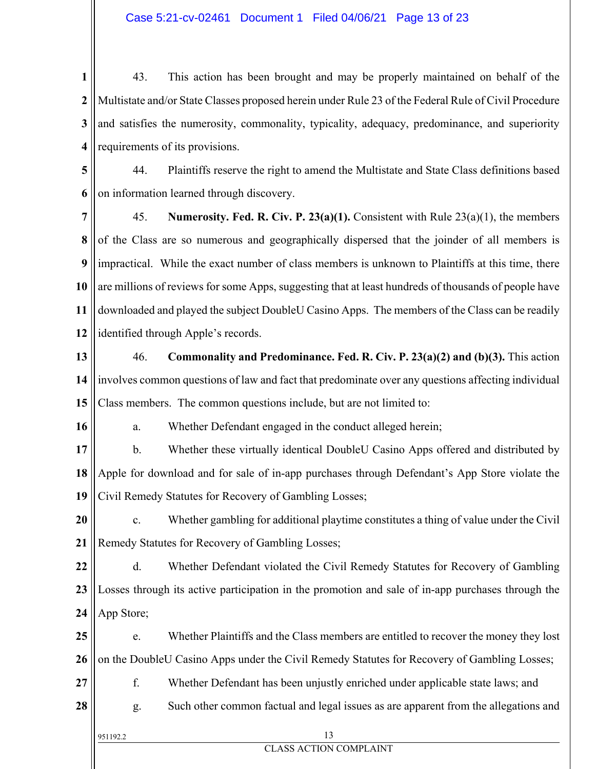**1 2 3 4** 43. This action has been brought and may be properly maintained on behalf of the Multistate and/or State Classes proposed herein under Rule 23 of the Federal Rule of Civil Procedure and satisfies the numerosity, commonality, typicality, adequacy, predominance, and superiority requirements of its provisions.

**5 6** 44. Plaintiffs reserve the right to amend the Multistate and State Class definitions based on information learned through discovery.

**7 8 9 10 11 12** 45. **Numerosity. Fed. R. Civ. P. 23(a)(1).** Consistent with Rule 23(a)(1), the members of the Class are so numerous and geographically dispersed that the joinder of all members is impractical. While the exact number of class members is unknown to Plaintiffs at this time, there are millions of reviews for some Apps, suggesting that at least hundreds of thousands of people have downloaded and played the subject DoubleU Casino Apps. The members of the Class can be readily identified through Apple's records.

**13 14 15** 46. **Commonality and Predominance. Fed. R. Civ. P. 23(a)(2) and (b)(3).** This action involves common questions of law and fact that predominate over any questions affecting individual Class members. The common questions include, but are not limited to:

a. Whether Defendant engaged in the conduct alleged herein;

**17 18 19** b. Whether these virtually identical DoubleU Casino Apps offered and distributed by Apple for download and for sale of in-app purchases through Defendant's App Store violate the Civil Remedy Statutes for Recovery of Gambling Losses;

**20 21** c. Whether gambling for additional playtime constitutes a thing of value under the Civil Remedy Statutes for Recovery of Gambling Losses;

**22 23 24** d. Whether Defendant violated the Civil Remedy Statutes for Recovery of Gambling Losses through its active participation in the promotion and sale of in-app purchases through the App Store;

**25 26** e. Whether Plaintiffs and the Class members are entitled to recover the money they lost on the DoubleU Casino Apps under the Civil Remedy Statutes for Recovery of Gambling Losses;

**27** f. Whether Defendant has been unjustly enriched under applicable state laws; and

**28** g. Such other common factual and legal issues as are apparent from the allegations and

**16**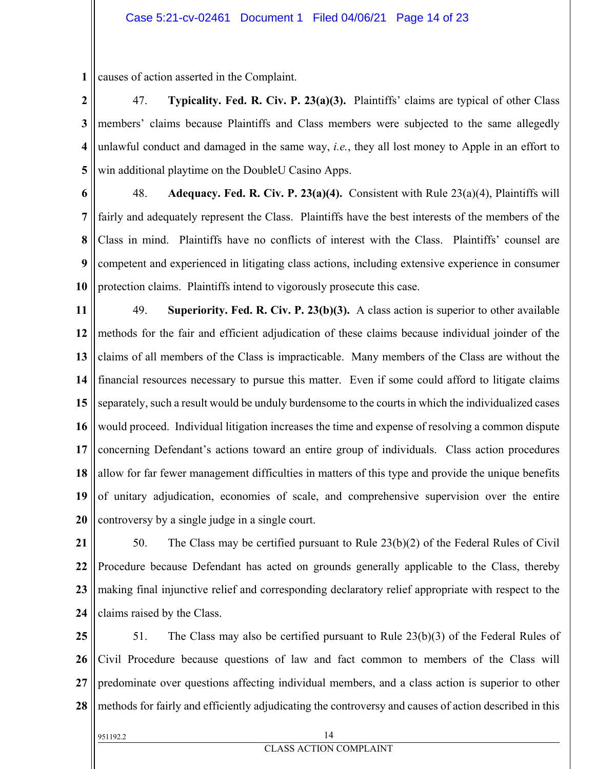**1** causes of action asserted in the Complaint.

**2 3 4 5** 47. **Typicality. Fed. R. Civ. P. 23(a)(3).** Plaintiffs' claims are typical of other Class members' claims because Plaintiffs and Class members were subjected to the same allegedly unlawful conduct and damaged in the same way, *i.e.*, they all lost money to Apple in an effort to win additional playtime on the DoubleU Casino Apps.

**6 7 8 9 10** 48. **Adequacy. Fed. R. Civ. P. 23(a)(4).** Consistent with Rule 23(a)(4), Plaintiffs will fairly and adequately represent the Class. Plaintiffs have the best interests of the members of the Class in mind. Plaintiffs have no conflicts of interest with the Class. Plaintiffs' counsel are competent and experienced in litigating class actions, including extensive experience in consumer protection claims. Plaintiffs intend to vigorously prosecute this case.

**11 12 13 14 15 16 17 18 19 20** 49. **Superiority. Fed. R. Civ. P. 23(b)(3).** A class action is superior to other available methods for the fair and efficient adjudication of these claims because individual joinder of the claims of all members of the Class is impracticable. Many members of the Class are without the financial resources necessary to pursue this matter. Even if some could afford to litigate claims separately, such a result would be unduly burdensome to the courts in which the individualized cases would proceed. Individual litigation increases the time and expense of resolving a common dispute concerning Defendant's actions toward an entire group of individuals. Class action procedures allow for far fewer management difficulties in matters of this type and provide the unique benefits of unitary adjudication, economies of scale, and comprehensive supervision over the entire controversy by a single judge in a single court.

**21 22 23 24** 50. The Class may be certified pursuant to Rule 23(b)(2) of the Federal Rules of Civil Procedure because Defendant has acted on grounds generally applicable to the Class, thereby making final injunctive relief and corresponding declaratory relief appropriate with respect to the claims raised by the Class.

**25 26 27 28** 51. The Class may also be certified pursuant to Rule 23(b)(3) of the Federal Rules of Civil Procedure because questions of law and fact common to members of the Class will predominate over questions affecting individual members, and a class action is superior to other methods for fairly and efficiently adjudicating the controversy and causes of action described in this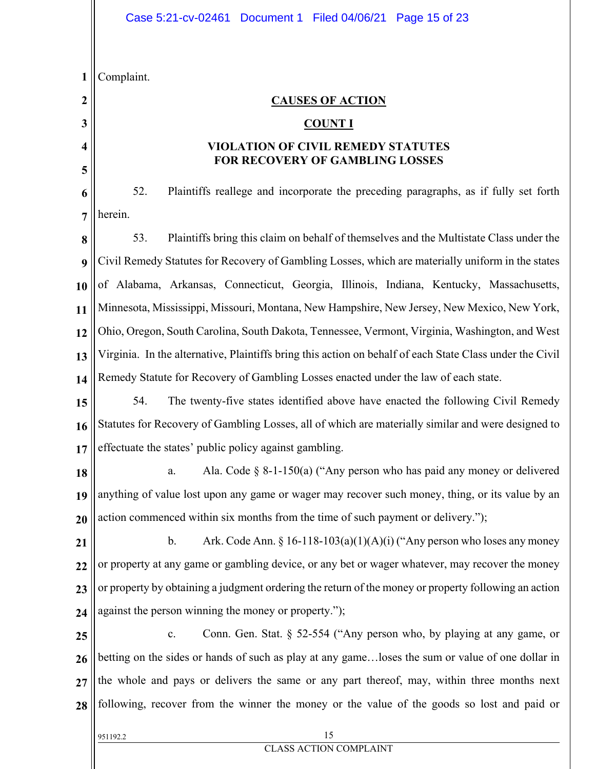|              | Case 5:21-cv-02461 Document 1 Filed 04/06/21 Page 15 of 23                                               |  |  |  |  |
|--------------|----------------------------------------------------------------------------------------------------------|--|--|--|--|
|              |                                                                                                          |  |  |  |  |
| $\mathbf{1}$ | Complaint.                                                                                               |  |  |  |  |
| 2            | <b>CAUSES OF ACTION</b>                                                                                  |  |  |  |  |
| 3            | <b>COUNT I</b>                                                                                           |  |  |  |  |
| 4            | <b>VIOLATION OF CIVIL REMEDY STATUTES</b><br>FOR RECOVERY OF GAMBLING LOSSES                             |  |  |  |  |
| 5            |                                                                                                          |  |  |  |  |
| 6            | 52.<br>Plaintiffs reallege and incorporate the preceding paragraphs, as if fully set forth               |  |  |  |  |
| 7            | herein.                                                                                                  |  |  |  |  |
| 8            | 53.<br>Plaintiffs bring this claim on behalf of themselves and the Multistate Class under the            |  |  |  |  |
| 9            | Civil Remedy Statutes for Recovery of Gambling Losses, which are materially uniform in the states        |  |  |  |  |
| 10           | of Alabama, Arkansas, Connecticut, Georgia, Illinois, Indiana, Kentucky, Massachusetts,                  |  |  |  |  |
| 11           | Minnesota, Mississippi, Missouri, Montana, New Hampshire, New Jersey, New Mexico, New York,              |  |  |  |  |
| 12           | Ohio, Oregon, South Carolina, South Dakota, Tennessee, Vermont, Virginia, Washington, and West           |  |  |  |  |
| 13           | Virginia. In the alternative, Plaintiffs bring this action on behalf of each State Class under the Civil |  |  |  |  |
| 14           | Remedy Statute for Recovery of Gambling Losses enacted under the law of each state.                      |  |  |  |  |
| 15           | 54.<br>The twenty-five states identified above have enacted the following Civil Remedy                   |  |  |  |  |
| 16           | Statutes for Recovery of Gambling Losses, all of which are materially similar and were designed to       |  |  |  |  |
| 17           | effectuate the states' public policy against gambling.                                                   |  |  |  |  |
| 18           | Ala. Code $\S$ 8-1-150(a) ("Any person who has paid any money or delivered<br>a.                         |  |  |  |  |
| 19           | anything of value lost upon any game or wager may recover such money, thing, or its value by an          |  |  |  |  |
| 20           | action commenced within six months from the time of such payment or delivery.");                         |  |  |  |  |
| 21           | Ark. Code Ann. § 16-118-103(a)(1)(A)(i) ("Any person who loses any money<br>b.                           |  |  |  |  |
| 22           | or property at any game or gambling device, or any bet or wager whatever, may recover the money          |  |  |  |  |
| 23           | or property by obtaining a judgment ordering the return of the money or property following an action     |  |  |  |  |
| 24           | against the person winning the money or property.");                                                     |  |  |  |  |
| 25           | Conn. Gen. Stat. $\S$ 52-554 ("Any person who, by playing at any game, or<br>c.                          |  |  |  |  |
| 26           | betting on the sides or hands of such as play at any gameloses the sum or value of one dollar in         |  |  |  |  |
| 27           | the whole and pays or delivers the same or any part thereof, may, within three months next               |  |  |  |  |
| 28           | following, recover from the winner the money or the value of the goods so lost and paid or               |  |  |  |  |
|              | 15<br>951192.2                                                                                           |  |  |  |  |
|              | <b>CLASS ACTION COMPLAINT</b>                                                                            |  |  |  |  |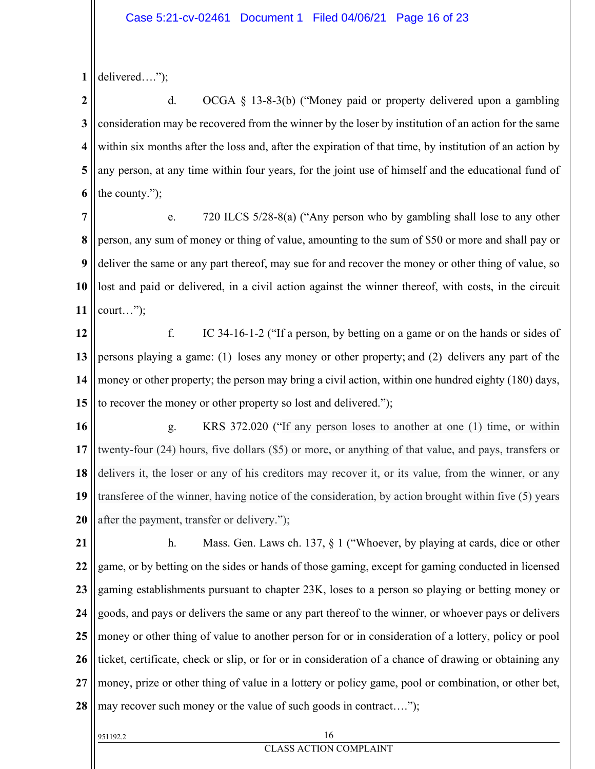**1** delivered….");

**2 3 4 5 6** d. OCGA § 13-8-3(b) ("Money paid or property delivered upon a gambling consideration may be recovered from the winner by the loser by institution of an action for the same within six months after the loss and, after the expiration of that time, by institution of an action by any person, at any time within four years, for the joint use of himself and the educational fund of the county.");

**7 8 9 10 11** e. 720 ILCS 5/28-8(a) ("Any person who by gambling shall lose to any other person, any sum of money or thing of value, amounting to the sum of \$50 or more and shall pay or deliver the same or any part thereof, may sue for and recover the money or other thing of value, so lost and paid or delivered, in a civil action against the winner thereof, with costs, in the circuit court…");

**12 13 14 15** f. IC 34-16-1-2 ("If a person, by betting on a game or on the hands or sides of persons playing a game: (1) loses any money or other property; and (2) delivers any part of the money or other property; the person may bring a civil action, within one hundred eighty (180) days, to recover the money or other property so lost and delivered.");

**16 17 18 19 20** g. KRS 372.020 ("If any person loses to another at one (1) time, or within twenty-four (24) hours, five dollars (\$5) or more, or anything of that value, and pays, transfers or delivers it, the loser or any of his creditors may recover it, or its value, from the winner, or any transferee of the winner, having notice of the consideration, by action brought within five (5) years after the payment, transfer or delivery.");

**21 22 23 24 25 26 27 28** h. Mass. Gen. Laws ch. 137, § 1 ("Whoever, by playing at cards, dice or other game, or by betting on the sides or hands of those gaming, except for gaming conducted in licensed gaming establishments pursuant to chapter 23K, loses to a person so playing or betting money or goods, and pays or delivers the same or any part thereof to the winner, or whoever pays or delivers money or other thing of value to another person for or in consideration of a lottery, policy or pool ticket, certificate, check or slip, or for or in consideration of a chance of drawing or obtaining any money, prize or other thing of value in a lottery or policy game, pool or combination, or other bet, may recover such money or the value of such goods in contract....");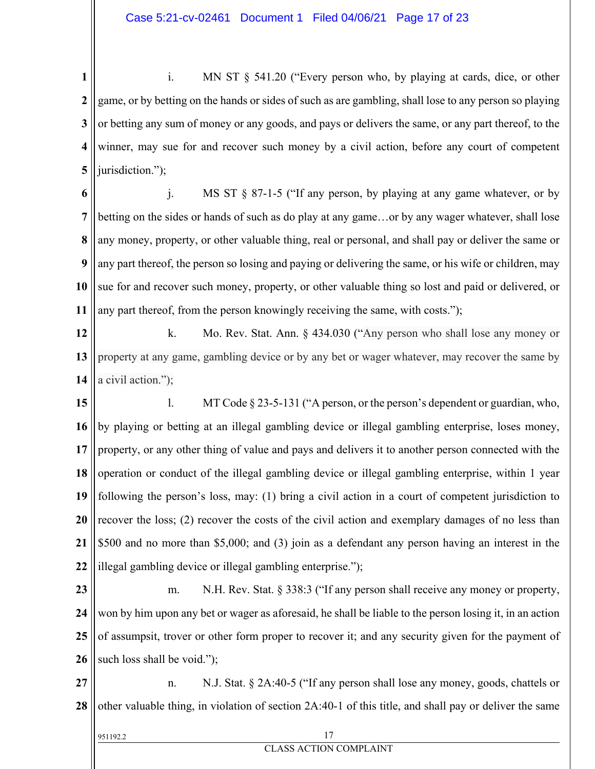**1 2 3 4 5** i. MN ST § 541.20 ("Every person who, by playing at cards, dice, or other game, or by betting on the hands or sides of such as are gambling, shall lose to any person so playing or betting any sum of money or any goods, and pays or delivers the same, or any part thereof, to the winner, may sue for and recover such money by a civil action, before any court of competent jurisdiction.");

**6 7 8 9 10 11** j. MS ST § 87-1-5 ("If any person, by playing at any game whatever, or by betting on the sides or hands of such as do play at any game…or by any wager whatever, shall lose any money, property, or other valuable thing, real or personal, and shall pay or deliver the same or any part thereof, the person so losing and paying or delivering the same, or his wife or children, may sue for and recover such money, property, or other valuable thing so lost and paid or delivered, or any part thereof, from the person knowingly receiving the same, with costs.");

**12 13 14** k. Mo. Rev. Stat. Ann. § 434.030 ("Any person who shall lose any money or property at any game, gambling device or by any bet or wager whatever, may recover the same by a civil action.");

**15 16 17 18 19 20 21 22** l. MT Code § 23-5-131 ("A person, or the person's dependent or guardian, who, by playing or betting at an illegal gambling device or illegal gambling enterprise, loses money, property, or any other thing of value and pays and delivers it to another person connected with the operation or conduct of the illegal gambling device or illegal gambling enterprise, within 1 year following the person's loss, may: (1) bring a civil action in a court of competent jurisdiction to recover the loss; (2) recover the costs of the civil action and exemplary damages of no less than \$500 and no more than \$5,000; and (3) join as a defendant any person having an interest in the illegal gambling device or illegal gambling enterprise.");

**23 24 25 26** m. N.H. Rev. Stat. § 338:3 ("If any person shall receive any money or property, won by him upon any bet or wager as aforesaid, he shall be liable to the person losing it, in an action of assumpsit, trover or other form proper to recover it; and any security given for the payment of such loss shall be void.");

**27 28** n. N.J. Stat. § 2A:40-5 ("If any person shall lose any money, goods, chattels or other valuable thing, in violation of section 2A:40-1 of this title, and shall pay or deliver the same

| 951192.2 |                        |  |
|----------|------------------------|--|
|          | CLASS ACTION COMPLAINT |  |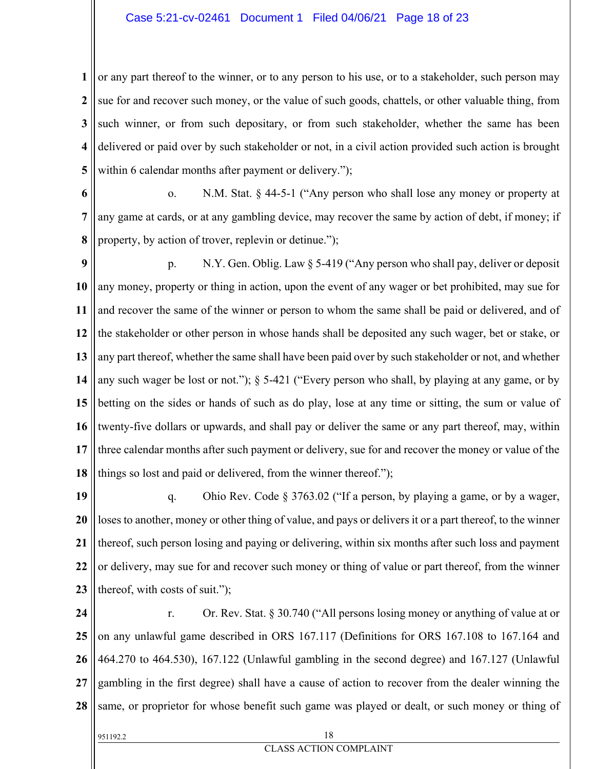### Case 5:21-cv-02461 Document 1 Filed 04/06/21 Page 18 of 23

**1 2 3 4 5** or any part thereof to the winner, or to any person to his use, or to a stakeholder, such person may sue for and recover such money, or the value of such goods, chattels, or other valuable thing, from such winner, or from such depositary, or from such stakeholder, whether the same has been delivered or paid over by such stakeholder or not, in a civil action provided such action is brought within 6 calendar months after payment or delivery.");

**6**

**7**

**8**

o. N.M. Stat. § 44-5-1 ("Any person who shall lose any money or property at any game at cards, or at any gambling device, may recover the same by action of debt, if money; if property, by action of trover, replevin or detinue.");

**9 10 11 12 13 14 15 16 17 18** p. N.Y. Gen. Oblig. Law § 5-419 ("Any person who shall pay, deliver or deposit any money, property or thing in action, upon the event of any wager or bet prohibited, may sue for and recover the same of the winner or person to whom the same shall be paid or delivered, and of the stakeholder or other person in whose hands shall be deposited any such wager, bet or stake, or any part thereof, whether the same shall have been paid over by such stakeholder or not, and whether any such wager be lost or not."); § 5-421 ("Every person who shall, by playing at any game, or by betting on the sides or hands of such as do play, lose at any time or sitting, the sum or value of twenty-five dollars or upwards, and shall pay or deliver the same or any part thereof, may, within three calendar months after such payment or delivery, sue for and recover the money or value of the things so lost and paid or delivered, from the winner thereof.");

**19 20 21 22 23** q. Ohio Rev. Code § 3763.02 ("If a person, by playing a game, or by a wager, loses to another, money or other thing of value, and pays or delivers it or a part thereof, to the winner thereof, such person losing and paying or delivering, within six months after such loss and payment or delivery, may sue for and recover such money or thing of value or part thereof, from the winner thereof, with costs of suit.");

**24 25 26 27 28** r. Or. Rev. Stat. § 30.740 ("All persons losing money or anything of value at or on any unlawful game described in ORS 167.117 (Definitions for ORS 167.108 to 167.164 and 464.270 to 464.530), 167.122 (Unlawful gambling in the second degree) and 167.127 (Unlawful gambling in the first degree) shall have a cause of action to recover from the dealer winning the same, or proprietor for whose benefit such game was played or dealt, or such money or thing of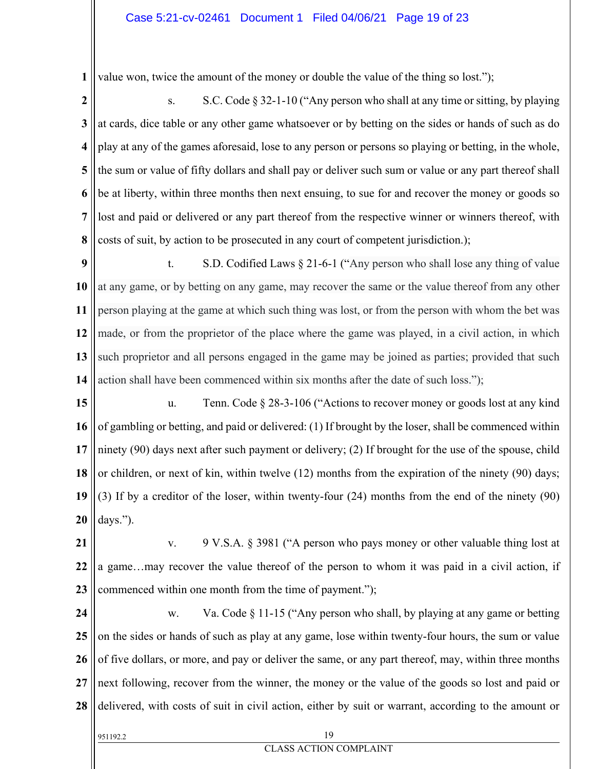**1** value won, twice the amount of the money or double the value of the thing so lost.");

**2 3 4 5 6 7 8** s. S.C. Code  $\S 32$ -1-10 ("Any person who shall at any time or sitting, by playing at cards, dice table or any other game whatsoever or by betting on the sides or hands of such as do play at any of the games aforesaid, lose to any person or persons so playing or betting, in the whole, the sum or value of fifty dollars and shall pay or deliver such sum or value or any part thereof shall be at liberty, within three months then next ensuing, to sue for and recover the money or goods so lost and paid or delivered or any part thereof from the respective winner or winners thereof, with costs of suit, by action to be prosecuted in any court of competent jurisdiction.);

**9 10 11 12 13 14** t. S.D. Codified Laws § 21-6-1 ("Any person who shall lose any thing of value at any game, or by betting on any game, may recover the same or the value thereof from any other person playing at the game at which such thing was lost, or from the person with whom the bet was made, or from the proprietor of the place where the game was played, in a civil action, in which such proprietor and all persons engaged in the game may be joined as parties; provided that such action shall have been commenced within six months after the date of such loss.");

**15 16 17 18 19 20** u. Tenn. Code § 28-3-106 ("Actions to recover money or goods lost at any kind of gambling or betting, and paid or delivered: (1) If brought by the loser, shall be commenced within ninety (90) days next after such payment or delivery; (2) If brought for the use of the spouse, child or children, or next of kin, within twelve (12) months from the expiration of the ninety (90) days; (3) If by a creditor of the loser, within twenty-four (24) months from the end of the ninety (90) days.").

**21 22 23** v. 9 V.S.A. § 3981 ("A person who pays money or other valuable thing lost at a game…may recover the value thereof of the person to whom it was paid in a civil action, if commenced within one month from the time of payment.");

**24 25 26 27 28** w. Va. Code § 11-15 ("Any person who shall, by playing at any game or betting on the sides or hands of such as play at any game, lose within twenty-four hours, the sum or value of five dollars, or more, and pay or deliver the same, or any part thereof, may, within three months next following, recover from the winner, the money or the value of the goods so lost and paid or delivered, with costs of suit in civil action, either by suit or warrant, according to the amount or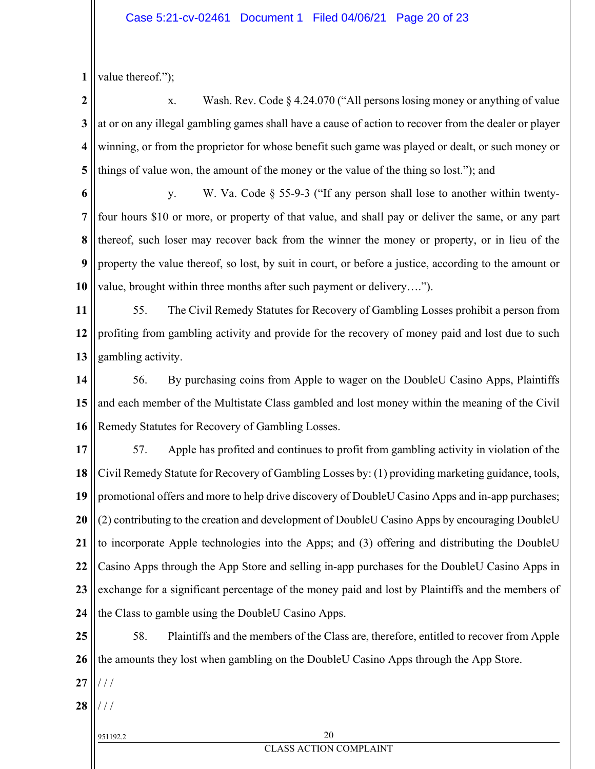**1** value thereof.");

**2 3 4 5** x. Wash. Rev. Code § 4.24.070 ("All persons losing money or anything of value at or on any illegal gambling games shall have a cause of action to recover from the dealer or player winning, or from the proprietor for whose benefit such game was played or dealt, or such money or things of value won, the amount of the money or the value of the thing so lost."); and

**6**

**7**

**8**

**9**

**10**

y. W. Va. Code § 55-9-3 ("If any person shall lose to another within twentyfour hours \$10 or more, or property of that value, and shall pay or deliver the same, or any part thereof, such loser may recover back from the winner the money or property, or in lieu of the property the value thereof, so lost, by suit in court, or before a justice, according to the amount or value, brought within three months after such payment or delivery….").

**11 12 13** 55. The Civil Remedy Statutes for Recovery of Gambling Losses prohibit a person from profiting from gambling activity and provide for the recovery of money paid and lost due to such gambling activity.

**14 15 16** 56. By purchasing coins from Apple to wager on the DoubleU Casino Apps, Plaintiffs and each member of the Multistate Class gambled and lost money within the meaning of the Civil Remedy Statutes for Recovery of Gambling Losses.

**17 18 19 20 21 22 23 24** 57. Apple has profited and continues to profit from gambling activity in violation of the Civil Remedy Statute for Recovery of Gambling Losses by: (1) providing marketing guidance, tools, promotional offers and more to help drive discovery of DoubleU Casino Apps and in-app purchases; (2) contributing to the creation and development of DoubleU Casino Apps by encouraging DoubleU to incorporate Apple technologies into the Apps; and (3) offering and distributing the DoubleU Casino Apps through the App Store and selling in-app purchases for the DoubleU Casino Apps in exchange for a significant percentage of the money paid and lost by Plaintiffs and the members of the Class to gamble using the DoubleU Casino Apps.

**25 26** 58. Plaintiffs and the members of the Class are, therefore, entitled to recover from Apple the amounts they lost when gambling on the DoubleU Casino Apps through the App Store.

**27** / / /

**28** / / /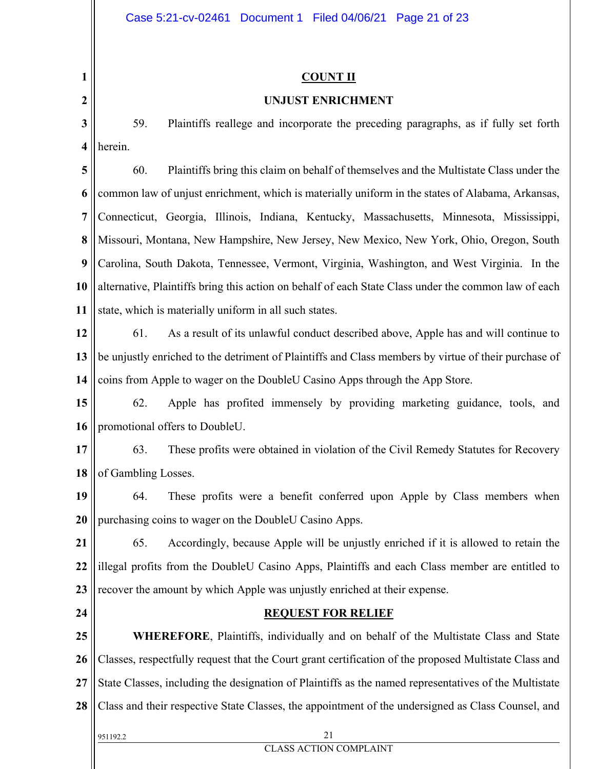### **1 2 3 4 5 6 7 8 9 10 11 12 13 14 15 16 17 18 19 20 21 22 23 24 25 26 27 28** 951192.2 21 CLASS ACTION COMPLAINT **COUNT II UNJUST ENRICHMENT**  59. Plaintiffs reallege and incorporate the preceding paragraphs, as if fully set forth herein. 60. Plaintiffs bring this claim on behalf of themselves and the Multistate Class under the common law of unjust enrichment, which is materially uniform in the states of Alabama, Arkansas, Connecticut, Georgia, Illinois, Indiana, Kentucky, Massachusetts, Minnesota, Mississippi, Missouri, Montana, New Hampshire, New Jersey, New Mexico, New York, Ohio, Oregon, South Carolina, South Dakota, Tennessee, Vermont, Virginia, Washington, and West Virginia. In the alternative, Plaintiffs bring this action on behalf of each State Class under the common law of each state, which is materially uniform in all such states. 61. As a result of its unlawful conduct described above, Apple has and will continue to be unjustly enriched to the detriment of Plaintiffs and Class members by virtue of their purchase of coins from Apple to wager on the DoubleU Casino Apps through the App Store. 62. Apple has profited immensely by providing marketing guidance, tools, and promotional offers to DoubleU. 63. These profits were obtained in violation of the Civil Remedy Statutes for Recovery of Gambling Losses. 64. These profits were a benefit conferred upon Apple by Class members when purchasing coins to wager on the DoubleU Casino Apps. 65. Accordingly, because Apple will be unjustly enriched if it is allowed to retain the illegal profits from the DoubleU Casino Apps, Plaintiffs and each Class member are entitled to recover the amount by which Apple was unjustly enriched at their expense. **REQUEST FOR RELIEF WHEREFORE**, Plaintiffs, individually and on behalf of the Multistate Class and State Classes, respectfully request that the Court grant certification of the proposed Multistate Class and State Classes, including the designation of Plaintiffs as the named representatives of the Multistate Class and their respective State Classes, the appointment of the undersigned as Class Counsel, and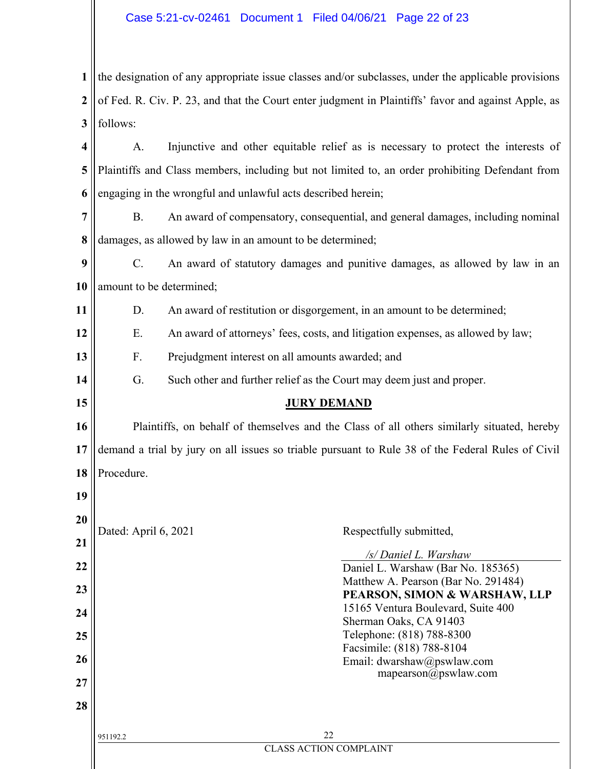### Case 5:21-cv-02461 Document 1 Filed 04/06/21 Page 22 of 23

| $\mathbf{1}$ the designation of any appropriate issue classes and/or subclasses, under the applicable provisions  |
|-------------------------------------------------------------------------------------------------------------------|
| $2 \parallel$ of Fed. R. Civ. P. 23, and that the Court enter judgment in Plaintiffs' favor and against Apple, as |
| $3$ follows:                                                                                                      |
| $\parallel$ A.<br>Injunctive and other equitable relief as is necessary to protect the interests of               |

**5 6** Plaintiffs and Class members, including but not limited to, an order prohibiting Defendant from engaging in the wrongful and unlawful acts described herein;

**7 8** B. An award of compensatory, consequential, and general damages, including nominal damages, as allowed by law in an amount to be determined;

**9 10** C. An award of statutory damages and punitive damages, as allowed by law in an amount to be determined;

**11** D. An award of restitution or disgorgement, in an amount to be determined;

**12** E. An award of attorneys' fees, costs, and litigation expenses, as allowed by law;

**13** F. Prejudgment interest on all amounts awarded; and

**15**

**19**

**14** G. Such other and further relief as the Court may deem just and proper.

### **JURY DEMAND**

**16 17 18** Plaintiffs, on behalf of themselves and the Class of all others similarly situated, hereby demand a trial by jury on all issues so triable pursuant to Rule 38 of the Federal Rules of Civil Procedure.

| 20 |                      |                                                    |
|----|----------------------|----------------------------------------------------|
| 21 | Dated: April 6, 2021 | Respectfully submitted,                            |
|    |                      | /s/ Daniel L. Warshaw                              |
| 22 |                      | Daniel L. Warshaw (Bar No. 185365)                 |
| 23 |                      | Matthew A. Pearson (Bar No. 291484)                |
|    |                      | PEARSON, SIMON & WARSHAW, LLP                      |
| 24 |                      | 15165 Ventura Boulevard, Suite 400                 |
|    |                      | Sherman Oaks, CA 91403                             |
| 25 |                      | Telephone: (818) 788-8300                          |
| 26 |                      | Facsimile: (818) 788-8104                          |
|    |                      | Email: dwarshaw@pswlaw.com<br>mapearson@pswlaw.com |
| 27 |                      |                                                    |
| 28 |                      |                                                    |
|    | 951192.2             | 22                                                 |
|    |                      | <b>CLASS ACTION COMPLAINT</b>                      |
|    |                      |                                                    |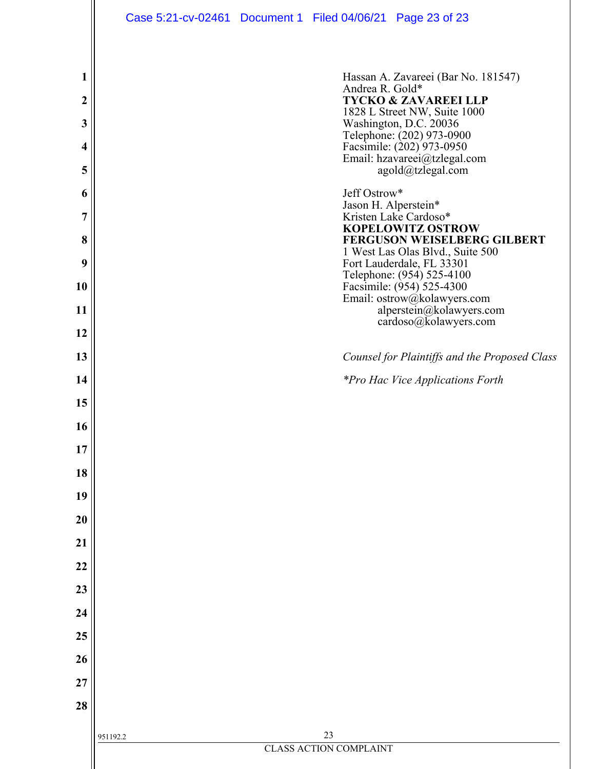|                  | Case 5:21-cv-02461 Document 1 Filed 04/06/21 Page 23 of 23 |                               |                                      |                                                                                        |
|------------------|------------------------------------------------------------|-------------------------------|--------------------------------------|----------------------------------------------------------------------------------------|
|                  |                                                            |                               |                                      |                                                                                        |
| 1                |                                                            |                               | Andrea R. Gold*                      | Hassan A. Zavareei (Bar No. 181547)                                                    |
| $\boldsymbol{2}$ |                                                            |                               |                                      | <b>TYCKO &amp; ZAVAREEI LLP</b><br>1828 L Street NW, Suite 1000                        |
| 3                |                                                            |                               |                                      | Washington, D.C. 20036                                                                 |
| 4                |                                                            |                               |                                      | Telephone: (202) 973-0900<br>Facsimile: (202) 973-0950<br>Email: hzavareei@tzlegal.com |
| 5                |                                                            |                               |                                      | agold@tzlegal.com                                                                      |
| 6                |                                                            |                               | Jeff Ostrow*<br>Jason H. Alperstein* |                                                                                        |
| 7                |                                                            |                               |                                      | Kristen Lake Cardoso*<br><b>KOPELOWITZ OSTROW</b>                                      |
| 8                |                                                            |                               |                                      | <b>FERGUSON WEISELBERG GILBERT</b><br>1 West Las Olas Blvd., Suite 500                 |
| 9<br>10          |                                                            |                               |                                      | Fort Lauderdale, FL 33301<br>Telephone: (954) 525-4100<br>Facsimile: (954) 525-4300    |
| 11               |                                                            |                               |                                      | Email: ostrow@kolawyers.com<br>alperstein@kolawyers.com                                |
| 12               |                                                            |                               |                                      | cardoso@kolawyers.com                                                                  |
| 13               |                                                            |                               |                                      | Counsel for Plaintiffs and the Proposed Class                                          |
| 14               |                                                            |                               |                                      | <i>*Pro Hac Vice Applications Forth</i>                                                |
| 15               |                                                            |                               |                                      |                                                                                        |
| 16               |                                                            |                               |                                      |                                                                                        |
| 17               |                                                            |                               |                                      |                                                                                        |
| 18               |                                                            |                               |                                      |                                                                                        |
| 19               |                                                            |                               |                                      |                                                                                        |
| 20               |                                                            |                               |                                      |                                                                                        |
| 21               |                                                            |                               |                                      |                                                                                        |
| 22               |                                                            |                               |                                      |                                                                                        |
| 23               |                                                            |                               |                                      |                                                                                        |
| 24<br>25         |                                                            |                               |                                      |                                                                                        |
| 26               |                                                            |                               |                                      |                                                                                        |
| 27               |                                                            |                               |                                      |                                                                                        |
| 28               |                                                            |                               |                                      |                                                                                        |
|                  |                                                            | 23                            |                                      |                                                                                        |
|                  | 951192.2                                                   | <b>CLASS ACTION COMPLAINT</b> |                                      |                                                                                        |
|                  |                                                            |                               |                                      |                                                                                        |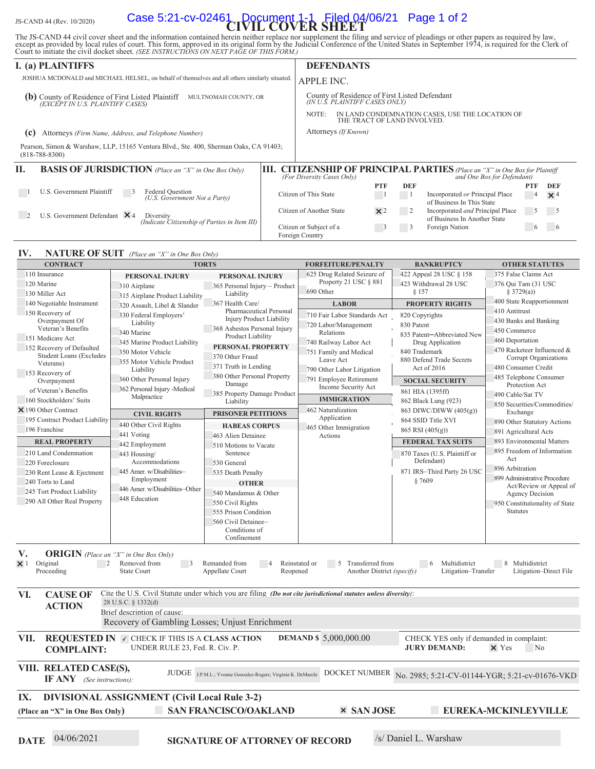# JS-CAND 44 (Rev. 10/2020) **Case 5:21-cv-02461 Document 1-1 Filed 04/06/21 Page 1 of 2**

The JS-CAND 44 civil cover sheet and the information contained herein neither replace nor supplement the filing and service of pleadings or other papers as required by law, except as provided by local rules of court. This

|                                                                                                | I. (a) PLAINTIFFS                                                                                             | <b>DEFENDANTS</b>                                                               |                            |                             |              |            |                                                                                                              |              |            |  |
|------------------------------------------------------------------------------------------------|---------------------------------------------------------------------------------------------------------------|---------------------------------------------------------------------------------|----------------------------|-----------------------------|--------------|------------|--------------------------------------------------------------------------------------------------------------|--------------|------------|--|
| JOSHUA MCDONALD and MICHAEL HELSEL, on behalf of themselves and all others similarly situated. |                                                                                                               |                                                                                 |                            | APPLE INC.                  |              |            |                                                                                                              |              |            |  |
| (b                                                                                             | County of Residence of First Listed Plaintiff<br>(EXCEPT IN U.S. PLAINTIFF CASES)<br>MULTNOMAH COUNTY, OR     | County of Residence of First Listed Defendant<br>(IN U.Š. PLAINTIFF CASES ONLY) |                            |                             |              |            |                                                                                                              |              |            |  |
|                                                                                                |                                                                                                               |                                                                                 | NOTE:                      | THE TRACT OF LAND INVOLVED. |              |            | IN LAND CONDEMNATION CASES, USE THE LOCATION OF                                                              |              |            |  |
| Attorneys (Firm Name, Address, and Telephone Number)<br>(c                                     |                                                                                                               |                                                                                 |                            | Attorneys (If Known)        |              |            |                                                                                                              |              |            |  |
|                                                                                                | Pearson, Simon & Warshaw, LLP, 15165 Ventura Blvd., Ste. 400, Sherman Oaks, CA 91403;<br>$(818 - 788 - 8300)$ |                                                                                 |                            |                             |              |            |                                                                                                              |              |            |  |
| H.                                                                                             | <b>BASIS OF JURISDICTION</b> (Place an "X" in One Box Only)                                                   | III.                                                                            | (For Diversity Cases Only) |                             |              |            | <b>CITIZENSHIP OF PRINCIPAL PARTIES</b> (Place an "X" in One Box for Plaintiff<br>and One Box for Defendant) |              |            |  |
|                                                                                                |                                                                                                               |                                                                                 |                            |                             | <b>PTF</b>   | <b>DEF</b> |                                                                                                              | <b>PTF</b>   | <b>DEF</b> |  |
|                                                                                                | U.S. Government Plaintiff<br>Federal Question<br>(U.S. Government Not a Party)                                | Citizen of This State                                                           |                            |                             |              |            | Incorporated or Principal Place<br>of Business In This State                                                 | 4            | $\times$ 4 |  |
|                                                                                                | U.S. Government Defendant $\times$ 4<br>Diversity<br>(Indicate Citizenship of Parties in Item III)            |                                                                                 | Citizen of Another State   |                             | $\times 2$   | 2          | Incorporated and Principal Place<br>of Business In Another State                                             | 5            |            |  |
|                                                                                                |                                                                                                               |                                                                                 | Citizen or Subject of a    |                             | $\mathbf{B}$ | 3          | Foreign Nation                                                                                               | <sub>(</sub> |            |  |

Foreign Country

### **IV. NATURE OF SUIT** (Place an "X" in One Box Only)

| <b>CONTRACT</b>                                                                                                | <b>TORTS</b>                                          |                                                              | <b>FORFEITURE/PENALTY</b>                | <b>BANKRUPTCY</b>                                            | <b>OTHER STATUTES</b>          |  |  |  |  |  |  |  |  |
|----------------------------------------------------------------------------------------------------------------|-------------------------------------------------------|--------------------------------------------------------------|------------------------------------------|--------------------------------------------------------------|--------------------------------|--|--|--|--|--|--|--|--|
| 110 Insurance                                                                                                  | PERSONAL INJURY                                       | PERSONAL INJURY                                              | 625 Drug Related Seizure of              | 422 Appeal 28 USC § 158                                      | 375 False Claims Act           |  |  |  |  |  |  |  |  |
| 120 Marine                                                                                                     | 310 Airplane                                          | 365 Personal Injury - Product                                | Property 21 USC § 881                    | 423 Withdrawal 28 USC                                        | 376 Qui Tam (31 USC)           |  |  |  |  |  |  |  |  |
| 130 Miller Act<br>315 Airplane Product Liability                                                               |                                                       | Liability                                                    | 690 Other                                | § 157                                                        | § 3729(a))                     |  |  |  |  |  |  |  |  |
| 140 Negotiable Instrument                                                                                      | 320 Assault, Libel & Slander                          | 367 Health Care/                                             | <b>LABOR</b>                             | <b>PROPERTY RIGHTS</b>                                       | 400 State Reapportionment      |  |  |  |  |  |  |  |  |
| 150 Recovery of                                                                                                | 330 Federal Employers'                                | Pharmaceutical Personal                                      | 710 Fair Labor Standards Act             | 820 Copyrights                                               | 410 Antitrust                  |  |  |  |  |  |  |  |  |
| Overpayment Of                                                                                                 | Liability                                             | <b>Injury Product Liability</b>                              | 720 Labor/Management                     | 830 Patent                                                   | 430 Banks and Banking          |  |  |  |  |  |  |  |  |
| Veteran's Benefits                                                                                             | 340 Marine                                            | 368 Asbestos Personal Injury                                 | Relations                                |                                                              | 450 Commerce                   |  |  |  |  |  |  |  |  |
| 151 Medicare Act                                                                                               | 345 Marine Product Liability                          | Product Liability                                            | 740 Railway Labor Act                    | 835 Patent-Abbreviated New<br>Drug Application               | 460 Deportation                |  |  |  |  |  |  |  |  |
| 152 Recovery of Defaulted                                                                                      | 350 Motor Vehicle                                     | PERSONAL PROPERTY                                            | 751 Family and Medical                   | 840 Trademark                                                | 470 Racketeer Influenced &     |  |  |  |  |  |  |  |  |
| <b>Student Loans (Excludes</b>                                                                                 | 355 Motor Vehicle Product                             | 370 Other Fraud                                              | Leave Act                                | 880 Defend Trade Secrets                                     | Corrupt Organizations          |  |  |  |  |  |  |  |  |
| Veterans)                                                                                                      | Liability                                             | 371 Truth in Lending                                         | 790 Other Labor Litigation               | Act of 2016                                                  | 480 Consumer Credit            |  |  |  |  |  |  |  |  |
| 153 Recovery of                                                                                                | 360 Other Personal Injury                             | 380 Other Personal Property                                  | 791 Employee Retirement                  |                                                              | 485 Telephone Consumer         |  |  |  |  |  |  |  |  |
| Overpayment                                                                                                    | 362 Personal Injury -Medical                          | Damage                                                       | Income Security Act                      | <b>SOCIAL SECURITY</b>                                       | Protection Act                 |  |  |  |  |  |  |  |  |
| of Veteran's Benefits                                                                                          | Malpractice                                           | 385 Property Damage Product                                  |                                          | 861 HIA (1395ff)                                             | 490 Cable/Sat TV               |  |  |  |  |  |  |  |  |
| 160 Stockholders' Suits                                                                                        |                                                       | Liability                                                    | <b>IMMIGRATION</b><br>462 Naturalization | 862 Black Lung (923)                                         | 850 Securities/Commodities/    |  |  |  |  |  |  |  |  |
| $\times$ 190 Other Contract                                                                                    | <b>CIVIL RIGHTS</b>                                   | <b>PRISONER PETITIONS</b>                                    |                                          | 863 DIWC/DIWW (405(g))                                       | Exchange                       |  |  |  |  |  |  |  |  |
| 195 Contract Product Liability                                                                                 | 440 Other Civil Rights                                | <b>HABEAS CORPUS</b>                                         | Application                              | 864 SSID Title XVI                                           | 890 Other Statutory Actions    |  |  |  |  |  |  |  |  |
| 196 Franchise                                                                                                  | 441 Voting                                            | 463 Alien Detainee                                           | 465 Other Immigration<br>Actions         | 865 RSI (405(g))                                             | 891 Agricultural Acts          |  |  |  |  |  |  |  |  |
| <b>REAL PROPERTY</b>                                                                                           | 442 Employment                                        | 510 Motions to Vacate                                        |                                          | <b>FEDERAL TAX SUITS</b>                                     | 893 Environmental Matters      |  |  |  |  |  |  |  |  |
| 210 Land Condemnation                                                                                          | 443 Housing/                                          | Sentence                                                     |                                          | 870 Taxes (U.S. Plaintiff or                                 | 895 Freedom of Information     |  |  |  |  |  |  |  |  |
| 220 Foreclosure                                                                                                | Accommodations                                        | 530 General                                                  |                                          | Defendant)                                                   | Act                            |  |  |  |  |  |  |  |  |
| 230 Rent Lease & Ejectment                                                                                     | 445 Amer. w/Disabilities-                             | 535 Death Penalty                                            |                                          | 871 IRS-Third Party 26 USC                                   | 896 Arbitration                |  |  |  |  |  |  |  |  |
| 240 Torts to Land                                                                                              | Employment                                            |                                                              |                                          | §7609                                                        | 899 Administrative Procedure   |  |  |  |  |  |  |  |  |
|                                                                                                                | 446 Amer. w/Disabilities-Other                        | <b>OTHER</b>                                                 |                                          |                                                              | Act/Review or Appeal of        |  |  |  |  |  |  |  |  |
| 245 Tort Product Liability                                                                                     | 448 Education                                         | 540 Mandamus & Other                                         |                                          |                                                              | <b>Agency Decision</b>         |  |  |  |  |  |  |  |  |
| 290 All Other Real Property                                                                                    |                                                       | 550 Civil Rights                                             |                                          |                                                              | 950 Constitutionality of State |  |  |  |  |  |  |  |  |
|                                                                                                                |                                                       | 555 Prison Condition                                         |                                          |                                                              | <b>Statutes</b>                |  |  |  |  |  |  |  |  |
|                                                                                                                |                                                       | 560 Civil Detainee-                                          |                                          |                                                              |                                |  |  |  |  |  |  |  |  |
|                                                                                                                |                                                       | Conditions of                                                |                                          |                                                              |                                |  |  |  |  |  |  |  |  |
|                                                                                                                |                                                       | Confinement                                                  |                                          |                                                              |                                |  |  |  |  |  |  |  |  |
| <b>ORIGIN</b> (Place an "X" in One Box Only)<br>V.                                                             |                                                       |                                                              |                                          |                                                              |                                |  |  |  |  |  |  |  |  |
| Original<br>$\overline{2}$<br>$\times$ 1                                                                       | Removed from<br>$\overline{\phantom{a}}$              | Remanded from                                                | Reinstated or<br>Transferred from<br>.5  | $6\overline{6}$<br>Multidistrict                             | 8 Multidistrict                |  |  |  |  |  |  |  |  |
| Proceeding                                                                                                     | <b>State Court</b>                                    | Appellate Court<br>Reopened                                  | Another District (specify)               | Litigation-Transfer                                          | Litigation-Direct File         |  |  |  |  |  |  |  |  |
|                                                                                                                |                                                       |                                                              |                                          |                                                              |                                |  |  |  |  |  |  |  |  |
| Cite the U.S. Civil Statute under which you are filing (Do not cite jurisdictional statutes unless diversity): |                                                       |                                                              |                                          |                                                              |                                |  |  |  |  |  |  |  |  |
| VI.<br><b>CAUSE OF</b>                                                                                         | 28 U.S.C. § 1332(d)                                   |                                                              |                                          |                                                              |                                |  |  |  |  |  |  |  |  |
| <b>ACTION</b>                                                                                                  | Brief description of cause:                           |                                                              |                                          |                                                              |                                |  |  |  |  |  |  |  |  |
|                                                                                                                |                                                       |                                                              |                                          |                                                              |                                |  |  |  |  |  |  |  |  |
|                                                                                                                | Recovery of Gambling Losses; Unjust Enrichment        |                                                              |                                          |                                                              |                                |  |  |  |  |  |  |  |  |
| VII.                                                                                                           | <b>REQUESTED IN V CHECK IF THIS IS A CLASS ACTION</b> |                                                              | <b>DEMAND \$5,000,000.00</b>             | CHECK YES only if demanded in complaint:                     |                                |  |  |  |  |  |  |  |  |
| <b>COMPLAINT:</b>                                                                                              | UNDER RULE 23, Fed. R. Civ. P.                        |                                                              |                                          | <b>JURY DEMAND:</b>                                          | $\times$ Yes<br>No.            |  |  |  |  |  |  |  |  |
|                                                                                                                |                                                       |                                                              |                                          |                                                              |                                |  |  |  |  |  |  |  |  |
| VIII. RELATED CASE(S),                                                                                         |                                                       |                                                              |                                          |                                                              |                                |  |  |  |  |  |  |  |  |
|                                                                                                                |                                                       | JUDGE J.P.M.L.; Yvonne Gonzalez-Rogers; Virginia K. DeMarchi |                                          | DOCKET NUMBER No. 2985; 5:21-CV-01144-YGR; 5:21-cv-01676-VKD |                                |  |  |  |  |  |  |  |  |
| $IF ANY$ (See instructions):                                                                                   |                                                       |                                                              |                                          |                                                              |                                |  |  |  |  |  |  |  |  |
| <b>DIVISIONAL ASSIGNMENT (Civil Local Rule 3-2)</b>                                                            |                                                       |                                                              |                                          |                                                              |                                |  |  |  |  |  |  |  |  |
| IX.                                                                                                            |                                                       |                                                              |                                          |                                                              |                                |  |  |  |  |  |  |  |  |
| <b>SAN FRANCISCO/OAKLAND</b><br><b>× SAN JOSE</b><br>EUREKA-MCKINLEYVILLE<br>(Place an "X" in One Box Only)    |                                                       |                                                              |                                          |                                                              |                                |  |  |  |  |  |  |  |  |
|                                                                                                                |                                                       |                                                              |                                          |                                                              |                                |  |  |  |  |  |  |  |  |
|                                                                                                                |                                                       |                                                              |                                          |                                                              |                                |  |  |  |  |  |  |  |  |
| 04/06/2021<br><b>DATE</b>                                                                                      |                                                       | <b>SIGNATURE OF ATTORNEY OF RECORD</b>                       |                                          | /s/ Daniel L. Warshaw                                        |                                |  |  |  |  |  |  |  |  |